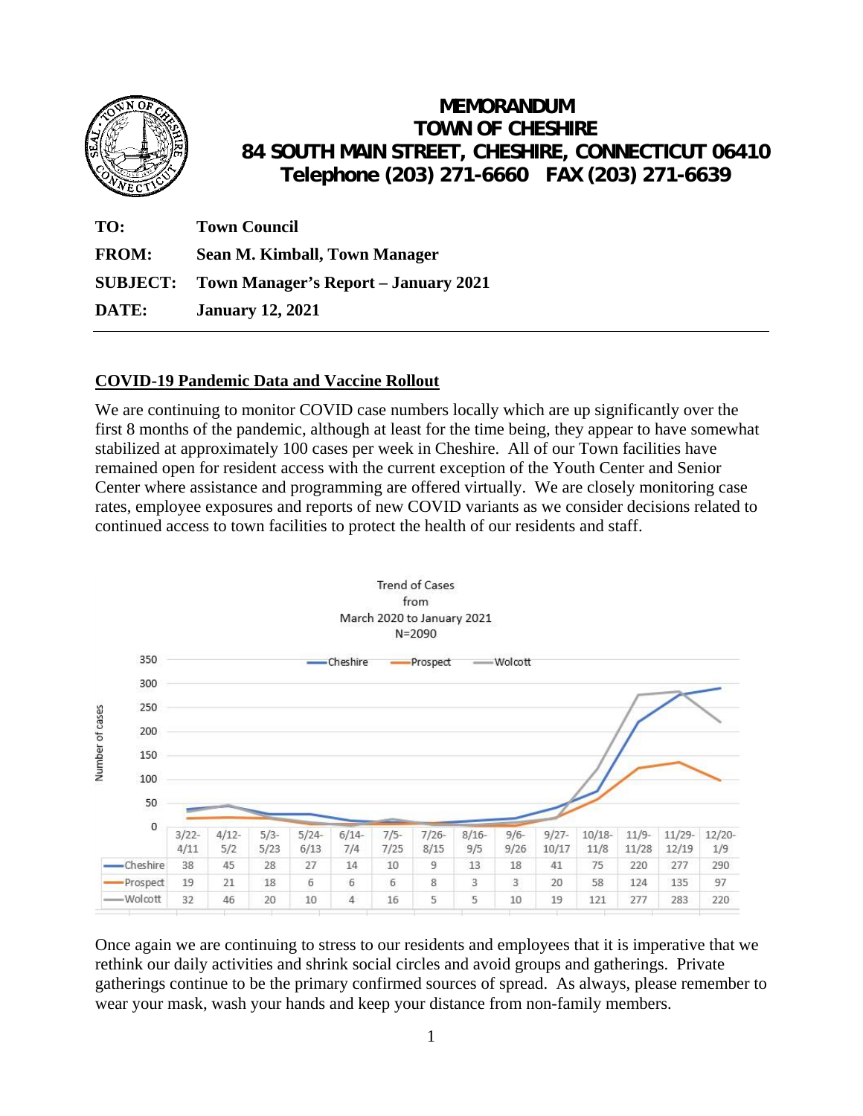

# **MEMORANDUM TOWN OF CHESHIRE 84 SOUTH MAIN STREET, CHESHIRE, CONNECTICUT 06410 Telephone (203) 271-6660 FAX (203) 271-6639**

| TO:          | <b>Town Council</b>                                  |
|--------------|------------------------------------------------------|
| <b>FROM:</b> | Sean M. Kimball, Town Manager                        |
|              | <b>SUBJECT:</b> Town Manager's Report – January 2021 |
| DATE:        | <b>January 12, 2021</b>                              |

## **COVID-19 Pandemic Data and Vaccine Rollout**

We are continuing to monitor COVID case numbers locally which are up significantly over the first 8 months of the pandemic, although at least for the time being, they appear to have somewhat stabilized at approximately 100 cases per week in Cheshire. All of our Town facilities have remained open for resident access with the current exception of the Youth Center and Senior Center where assistance and programming are offered virtually. We are closely monitoring case rates, employee exposures and reports of new COVID variants as we consider decisions related to continued access to town facilities to protect the health of our residents and staff.



Once again we are continuing to stress to our residents and employees that it is imperative that we rethink our daily activities and shrink social circles and avoid groups and gatherings. Private gatherings continue to be the primary confirmed sources of spread. As always, please remember to wear your mask, wash your hands and keep your distance from non-family members.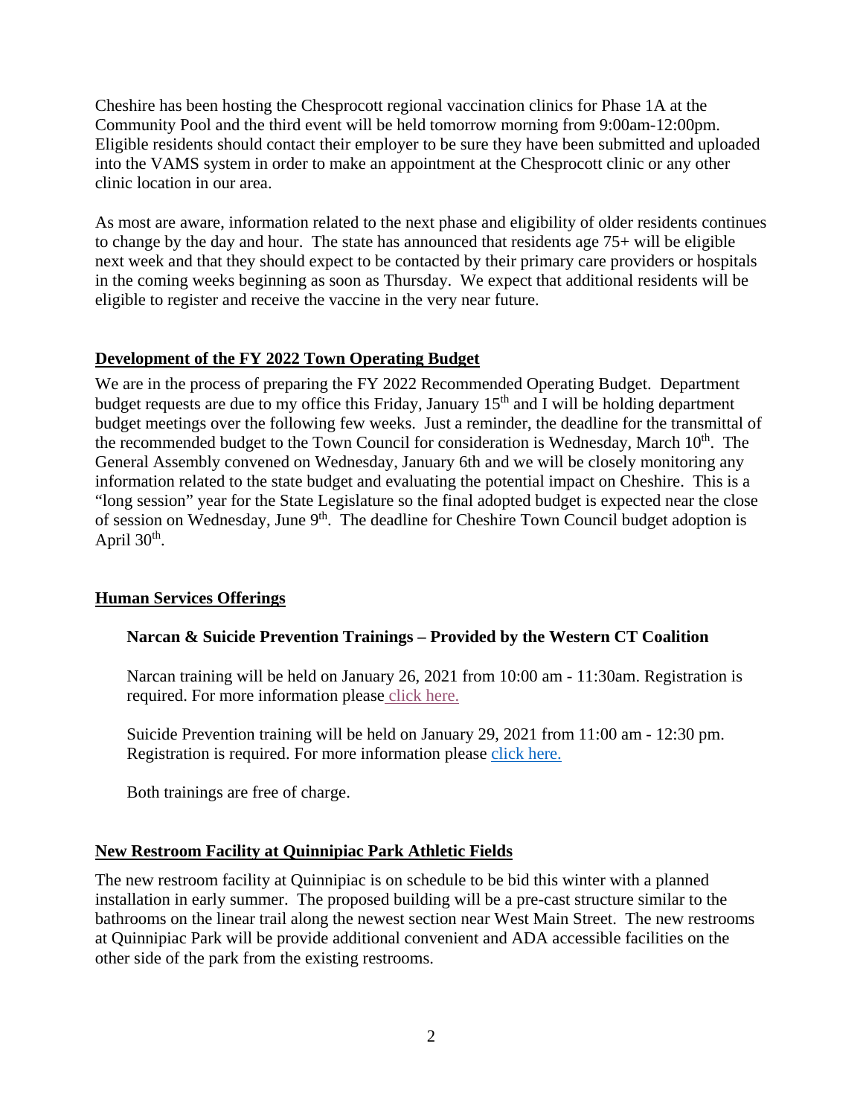Cheshire has been hosting the Chesprocott regional vaccination clinics for Phase 1A at the Community Pool and the third event will be held tomorrow morning from 9:00am-12:00pm. Eligible residents should contact their employer to be sure they have been submitted and uploaded into the VAMS system in order to make an appointment at the Chesprocott clinic or any other clinic location in our area.

As most are aware, information related to the next phase and eligibility of older residents continues to change by the day and hour. The state has announced that residents age 75+ will be eligible next week and that they should expect to be contacted by their primary care providers or hospitals in the coming weeks beginning as soon as Thursday. We expect that additional residents will be eligible to register and receive the vaccine in the very near future.

#### **Development of the FY 2022 Town Operating Budget**

We are in the process of preparing the FY 2022 Recommended Operating Budget. Department budget requests are due to my office this Friday, January  $15<sup>th</sup>$  and I will be holding department budget meetings over the following few weeks. Just a reminder, the deadline for the transmittal of the recommended budget to the Town Council for consideration is Wednesday, March 10<sup>th</sup>. The General Assembly convened on Wednesday, January 6th and we will be closely monitoring any information related to the state budget and evaluating the potential impact on Cheshire. This is a "long session" year for the State Legislature so the final adopted budget is expected near the close of session on Wednesday, June 9<sup>th</sup>. The deadline for Cheshire Town Council budget adoption is April  $30<sup>th</sup>$ .

## **Human Services Offerings**

## **Narcan & Suicide Prevention Trainings – Provided by the Western CT Coalition**

Narcan training will be held on January 26, 2021 from 10:00 am - 11:30am. Registration is required. For more information please click here.

Suicide Prevention training will be held on January 29, 2021 from 11:00 am - 12:30 pm. Registration is required. For more information please click here.

Both trainings are free of charge.

## **New Restroom Facility at Quinnipiac Park Athletic Fields**

The new restroom facility at Quinnipiac is on schedule to be bid this winter with a planned installation in early summer. The proposed building will be a pre-cast structure similar to the bathrooms on the linear trail along the newest section near West Main Street. The new restrooms at Quinnipiac Park will be provide additional convenient and ADA accessible facilities on the other side of the park from the existing restrooms.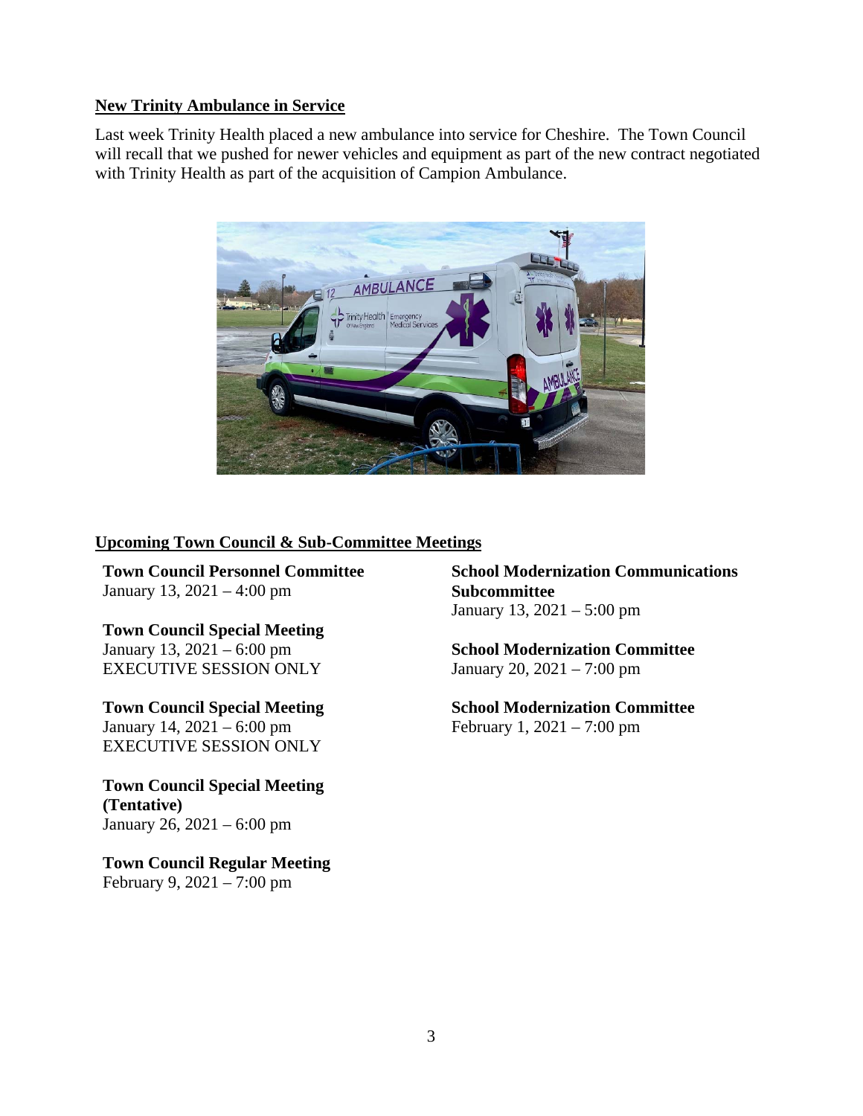#### **New Trinity Ambulance in Service**

Last week Trinity Health placed a new ambulance into service for Cheshire. The Town Council will recall that we pushed for newer vehicles and equipment as part of the new contract negotiated with Trinity Health as part of the acquisition of Campion Ambulance.



#### **Upcoming Town Council & Sub-Committee Meetings**

**Town Council Personnel Committee**  January 13, 2021 – 4:00 pm

**Town Council Special Meeting**  January 13, 2021 – 6:00 pm EXECUTIVE SESSION ONLY

**Town Council Special Meeting**  January 14, 2021 – 6:00 pm EXECUTIVE SESSION ONLY

**Town Council Special Meeting (Tentative)**  January 26, 2021 – 6:00 pm

**Town Council Regular Meeting**  February 9, 2021 – 7:00 pm

**School Modernization Communications Subcommittee** January 13, 2021 – 5:00 pm

**School Modernization Committee** January 20, 2021 – 7:00 pm

**School Modernization Committee** February 1, 2021 – 7:00 pm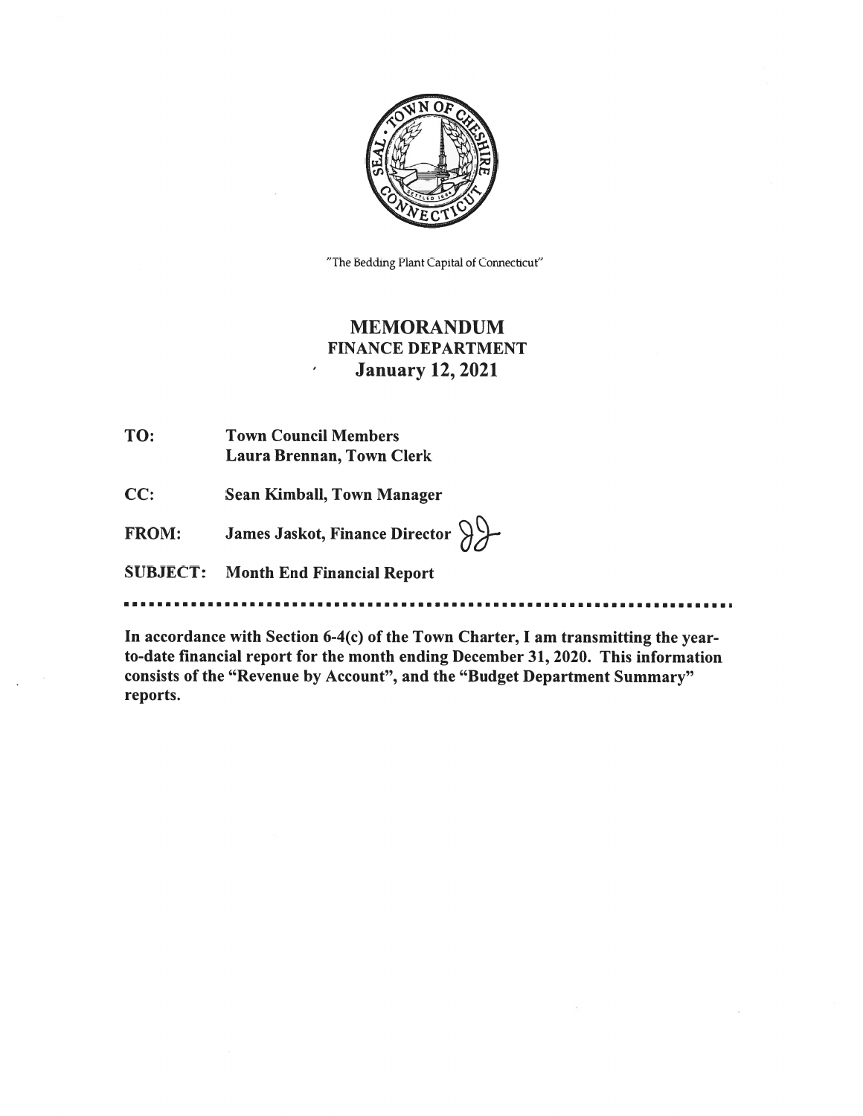

"The Bedding Plant Capital of Connecticut"

## **MEMORANDUM FINANCE DEPARTMENT January 12, 2021**

- TO: **Town Council Members** Laura Brennan, Town Clerk
- CC: Sean Kimball, Town Manager

James Jaskot, Finance Director  $\bigcirc$ **FROM:** 

 $\bar{\epsilon}$ 

**SUBJECT: Month End Financial Report** 

In accordance with Section 6-4(c) of the Town Charter, I am transmitting the yearto-date financial report for the month ending December 31, 2020. This information consists of the "Revenue by Account", and the "Budget Department Summary" reports.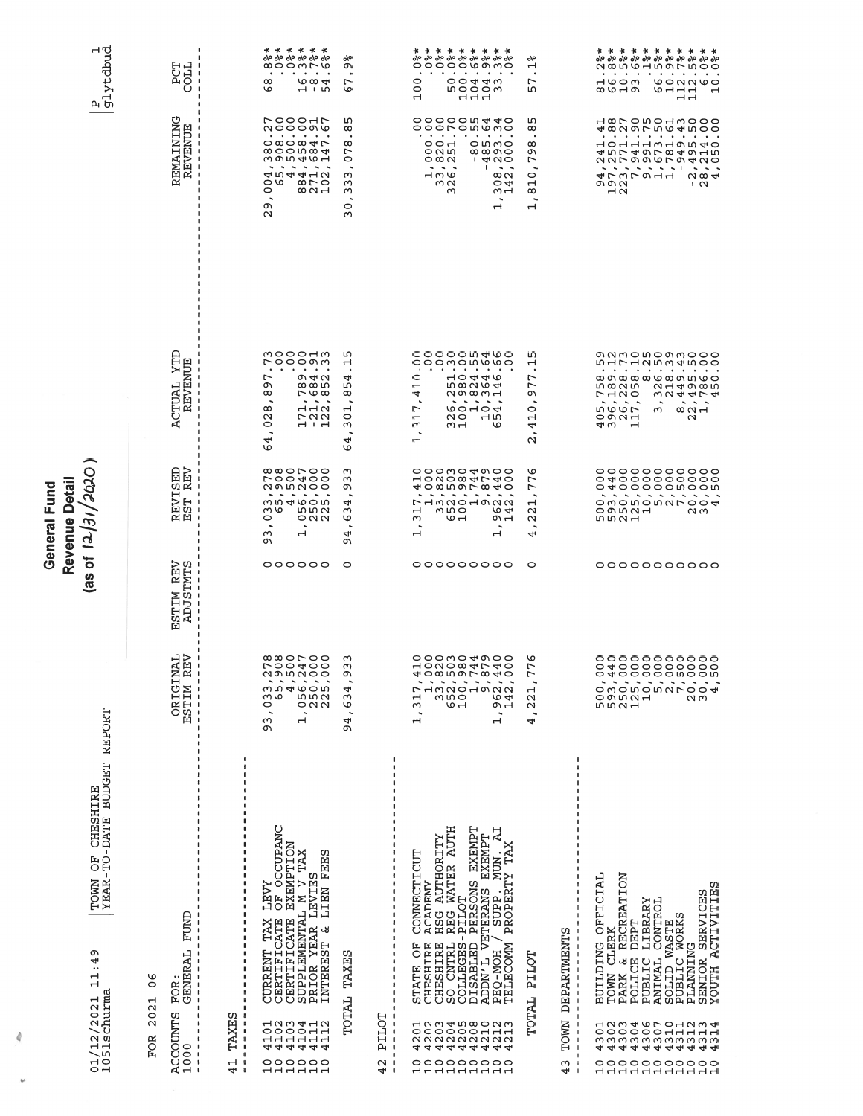| OF CHESHIRE<br>-TO-DATE BUDGET<br>TOWN<br>YEAR.<br>Ō<br>4<br>$\ldots$<br>$\frac{1}{1}$<br>$01/12/2021$<br>1051schurma                                                                                                                                                                                                      | REPORT                                                                                                                                                                  |                                                | OCOC/IE/TI JOSD<br>Revenue Detail<br>General Fund                                                                                                                                                                          |                                                                                                                                                                                                                                                                                                        |                                                                                                                                                                                                                                                                                                                                                                            | P<br>glytdbud<br>                                                                                                                                                                                                                                         |
|----------------------------------------------------------------------------------------------------------------------------------------------------------------------------------------------------------------------------------------------------------------------------------------------------------------------------|-------------------------------------------------------------------------------------------------------------------------------------------------------------------------|------------------------------------------------|----------------------------------------------------------------------------------------------------------------------------------------------------------------------------------------------------------------------------|--------------------------------------------------------------------------------------------------------------------------------------------------------------------------------------------------------------------------------------------------------------------------------------------------------|----------------------------------------------------------------------------------------------------------------------------------------------------------------------------------------------------------------------------------------------------------------------------------------------------------------------------------------------------------------------------|-----------------------------------------------------------------------------------------------------------------------------------------------------------------------------------------------------------------------------------------------------------|
| GENERAL FUND<br>৩<br>$\circ$<br>FOR<br>ᆏ<br>202<br>ACCOUNTS<br>1000<br>FOR<br>$\mathbf{I}$<br>$\mathsf I$<br>$\sqrt{2}$                                                                                                                                                                                                    | INAL<br>REV<br>DRIGII<br>ESTIM I                                                                                                                                        | M REV<br>STMTS<br><b>NILIST</b><br>MILIST<br>囜 | 명명<br>ω¤<br>EVI!<br>ST<br>- 1<br><b>ME</b>                                                                                                                                                                                 | ACTUAL YTD<br>REVENUE                                                                                                                                                                                                                                                                                  | REMAINING<br>REVENUE                                                                                                                                                                                                                                                                                                                                                       | <b>TROD</b><br>LDB                                                                                                                                                                                                                                        |
| $\mathbf{I}$<br>-1<br>$\mathbf{I}$<br>$\mathbf{I}$<br>-1<br>$\mathbf{I}$<br>$\mathbf{I}$<br>-1<br>$\mathbf{I}$<br>J.<br>n<br>TAXES<br>$\mathbf{I}$<br>$\mathbf{I}$<br>$\mathbf{1}$<br>J.<br>$\overline{\phantom{a}}$<br>Н<br>$\overline{\phantom{a}}$<br>4                                                                 |                                                                                                                                                                         |                                                |                                                                                                                                                                                                                            |                                                                                                                                                                                                                                                                                                        |                                                                                                                                                                                                                                                                                                                                                                            |                                                                                                                                                                                                                                                           |
| K LEVY<br>3 OF OCCUPANC<br>3 EXEMPTION<br>CERTIFICATE OF OCCUP.<br>CERTIFICATE EXEMPTIO<br>SUPPLEMENTAL M V TAX<br>PRIOR YEAR LEVIES<br>ω<br>INTEREST & LIEN FEE<br>$\blacksquare$<br>TAX<br>CURRENT<br>dooodd<br>11111111111111<br>000000<br>ㅋㅋㅋㅋㅋㅋ                                                                       | $\infty$ $\infty$ $\infty$ $\infty$<br><b>LOO400</b><br><b>NOLOO</b><br>$330000$<br>$0540000$<br>$0000000$<br>$000000$<br>$00000$<br>$\overline{\phantom{0}}$<br>თ<br>თ | 000000                                         | ∞∞ㅇㄴㅇㅇ<br><b>LOO400</b><br><b>ひりころりつ</b><br>$\sim$ $\sim$<br>$\sim$ $\sim$<br>$\sim$<br><b>MD460M</b><br>ო დ<br>m m u<br>$\circ$<br>$\circ$ $\circ$ $\circ$<br>$\overline{\phantom{a}}$<br>۰.<br>ω<br>Н<br>ጣ               | mooodm<br>いつつつのの<br>$\mathbf{a}$ , and $\mathbf{a}$ , and $\mathbf{a}$<br>$\bullet$<br>L<br>$O \nightharpoonup \neg \neg$<br>c<br>ᢁᢁ൝<br>$^\infty$<br>$\sim \infty$<br>$\sim$ $\sim$ $\sim$<br>$A - Q$<br>$^\infty$<br>$\mathbf{\Omega}$<br>いひと<br>$\circ$<br>$\overline{\phantom{a}}$<br>4<br>O       | rooonr<br><b>NOOOOO</b><br>$\cdots$<br>$\bullet$<br>$\circ$ $\circ$ $\circ$ $\circ$ $\circ$ $\circ$<br>∞ㅇㅇហ∞ 4<br>m on the H<br>$\tilde{\phantom{a}}$<br>$\overline{\phantom{a}}$<br>$\sim$<br>$\overline{\phantom{0}}$<br>454412<br>ں ت<br>$\infty$ $\sim$ $\circ$<br>0<br>$\infty$ $\sim$ $\rightarrow$<br>$\ddot{\phantom{0}}$<br>ጣ<br>$\mathbf{\Omega}$                | * * * * * *<br>olo olo olo olo olo olo<br>000mr0<br>$\bullet$<br>$\bullet$<br>$\bullet$<br>$\cdot$<br>$\bullet$<br>$\cdot$<br>$^\infty$<br>$\omega$ $\omega$ $\rightarrow$<br>$-110$<br>৩                                                                 |
| ŋ<br>TOTAL TAXE                                                                                                                                                                                                                                                                                                            | ന<br>ω<br>ጣ<br>4<br>Ġ<br>$\overline{\phantom{a}}$<br>4<br>ጣ                                                                                                             | o                                              | ო<br>$\infty$<br>ጣ<br>$\overline{\phantom{a}}$<br>4<br>ω<br>O<br>$\ddot{\phantom{1}}$<br>4<br>ጣ                                                                                                                            | ഗ<br>$\mathbf{\mathbf{u}}$<br>٠.<br>4<br>m<br>œ<br>$\overline{\phantom{a}}$<br>щ<br>$\circ$<br>ω<br>$\ddot{\phantom{0}}$<br>4<br>G                                                                                                                                                                     | m<br>$\infty$<br>٠<br>$^\infty$<br>∼<br>$\circ$<br>ω<br>Μ<br>ω<br>$\overline{\phantom{a}}$<br>$\circ$<br>ω                                                                                                                                                                                                                                                                 | o/o<br>ጣ<br>$\bullet$<br>$\overline{ }$<br>O                                                                                                                                                                                                              |
| $\mathbf{I}$<br>$\mathbf{I}$<br>1<br>$\blacksquare$<br>PILOT<br>$\mathbf{I}$<br>$\overline{\phantom{a}}$<br>$\,$ I<br>$\blacksquare$<br>$\overline{1}$<br>U<br>$\blacksquare$<br>4                                                                                                                                         |                                                                                                                                                                         |                                                |                                                                                                                                                                                                                            |                                                                                                                                                                                                                                                                                                        |                                                                                                                                                                                                                                                                                                                                                                            |                                                                                                                                                                                                                                                           |
| ACADEMY<br>HSG AUTHORITY<br>REG WATER AUTH<br>DISABLED PERSONS EXEMPT<br><b>IR</b><br>ADDN'L VETERANS EXEMPT<br>TAX<br>CONNECTICUT<br>MUN<br>/ SUPP. MI<br>PROPERTY<br>-PILOT<br>CNTRL<br>STATE OF<br>CHESHIRE<br>CHESHIRE<br>PEQ-MOH /<br>TELECOMM<br>COLLEGES<br>SO<br>daaan aduu<br>22222444444<br>HHHHHHHH<br>00000000 | 000 m 0 4 000<br>HONOWALAO<br>せつぬいのであすの<br>r<br>$\frac{1}{2}$<br>$\frac{1}{1}$<br>Н                                                                                     | 00000000                                       | 000004000<br>HONOW4MO<br>408597840<br>.<br>$\tilde{\phantom{a}}$<br>フ13201922<br>$\overline{ }$<br>$M_{\odot}$<br>৩ 4<br>ω<br>$\sigma$ $\rightarrow$<br>ம ⊣<br>$\ddot{\phantom{1}}$<br>Н<br>$\mathbf{\mathbf{\mathsf{H}}}$ | 000000400<br>ooomonwwo<br>$\bullet$<br><b><i>CALCULATION</i></b><br>$\circ$<br>$\begin{array}{c}\n1 & 0 \\ 0 & 0 \\ 0 & 0\n\end{array}$<br><b>599898</b><br>4<br><b>രാതെ</b> പ<br>.<br>$\overline{\phantom{a}}$<br>L<br>しつしのす<br>$\mathbf{\mathbf{r}}$<br>NO<br>പ ന<br>ω<br>$\sim$ $-1$<br>৩<br>٠<br>Н | 000000440<br>oooronwmo<br><b>All Andrew Card Adams</b><br>$\cdot$ $\cdot$<br>$\circ$<br>OMMO<br>O N M<br>$\infty$ $\infty$ $\infty$<br>$\circ$ $\infty$ $\sim$<br>400<br>$\mathbf{I}$<br>.<br>$\tilde{\phantom{a}}$<br>$\mathbf{I}$<br>コミん<br>$\infty$ $\sim$<br>$\circ$ 4<br>ωu<br>ო<br>$\sim$ $\rightarrow$<br>$\mathbf{\mathbf{\mathbf{\mathbf{\mathbf{\mathbf{H}}}}}}$ | * * * * * * * * *<br>010 010 010 010 010 010 010 010 010<br>ooooowmo<br>$\sigma$ . The contract of the contract of $\sigma$<br>$\bullet$<br>$\circ$<br>O O 4 4 W<br>$\circ$<br>いつつつ<br>$\mathbf{\mathbf{\mathbf{\mathsf{H}}}}$<br>$H$ $H$ $H$             |
| PILOT<br>TOTAL                                                                                                                                                                                                                                                                                                             | ৩<br>$\overline{ }$<br>$\overline{ }$<br>Н<br>$\mathbf{\Omega}$<br>$\mathbf{\Omega}$<br>$\overline{\phantom{a}}$<br>4                                                   | $\circ$                                        | O<br>∼<br>∼<br>٠<br>Н<br>$\mathbf{\alpha}$<br>Ν<br>$\ddot{\phantom{1}}$<br>4                                                                                                                                               | ഗ<br>ᆏ<br>r<br>L<br>ጣ<br>$\overline{\phantom{a}}$<br>0<br>Ч<br>4<br>٠<br>$\mathbf{\Omega}$                                                                                                                                                                                                             | m<br>$\infty$<br>$\bullet$<br>$^\infty$<br>ጣ<br>∼<br>$\ddot{\phantom{1}}$<br>0<br>Н<br>$\infty$<br>$\overline{\phantom{a}}$<br>$\mathbf{\mathbf{r}}$                                                                                                                                                                                                                       | o/o<br>H<br>٠.<br>L<br>m                                                                                                                                                                                                                                  |
| DEPARTMENTS<br>1<br>$\mathfrak l$<br>$\mathsf I$<br>$\mathfrak l$<br>$\mathsf I$<br>$\mathbf{I}$<br>-1<br>$\mathbf{I}$<br><b>TOWN</b><br>ı<br>J.<br>J<br>ω<br>-1<br>4                                                                                                                                                      |                                                                                                                                                                         |                                                |                                                                                                                                                                                                                            |                                                                                                                                                                                                                                                                                                        |                                                                                                                                                                                                                                                                                                                                                                            |                                                                                                                                                                                                                                                           |
| <b>OFFICIAL</b><br>& RECREATION<br>SENIOR SERVICES<br>YOUTH ACTIVITIES<br>DEPT<br>LIBRARY<br>ANIMAL CONTROL<br>SOLID WASTE<br>PUBLIC WORKS<br>TOWN CLERK<br><b>BUILDING</b><br><b><i>PLANNING</i></b><br>POLICE<br>PUBLIC<br>PARK<br><b>4 4 4 4 4 4 4 4 4 4</b><br>oooooooooo                                              | 00000000000<br>0400000000<br>o 4000000000                                                                                                                               | 00000000000                                    | 00000000000<br>0400000000<br>o 4000000000<br>.<br>owononuroo4<br>00001<br>ΜW<br><b>5531</b>                                                                                                                                | 00000000000<br>murunwanoo<br>.<br>∞ ၈ ∞ ∞ ∞ ७ ∞ ၈ ഥ ७ ⇔<br>n ∞ u w<br>$N + 4000$<br>いしの<br>うつきゅうき<br>.<br>$\sim$ $\sim$ $\sim$<br>$\overline{\phantom{a}}$<br>5995<br>ω<br>$\infty$ $\sim$ $\rightarrow$<br>つのひに<br>$\mathbf{\Omega}$<br>41 W<br>ᆏ                                                     | doombadana da<br>48297594500<br>.<br>10111m10040<br>45749784915<br>annoovrotno<br>. <b>.</b><br>まてきてきます<br>$\alpha$ $\alpha$ 4<br>0.001<br>$\sqrt{2}$<br>$\overline{N}$                                                                                                                                                                                                    | * * * * * * * * * * *<br>$\begin{array}{cccccccccccccc} \bullet & \bullet & \bullet & \bullet & \bullet \end{array}$<br>$\cdots$<br>$\bullet$<br>$\cdot$ .<br>いつのけ<br><b>CONNO</b><br>$\infty$ $\sim$ $\sim$ $\sim$<br>$O - H - H$<br>$\overline{ }$<br>ᆏ |

 $\theta$ 

 $\mathbf{b}^{\text{L}}$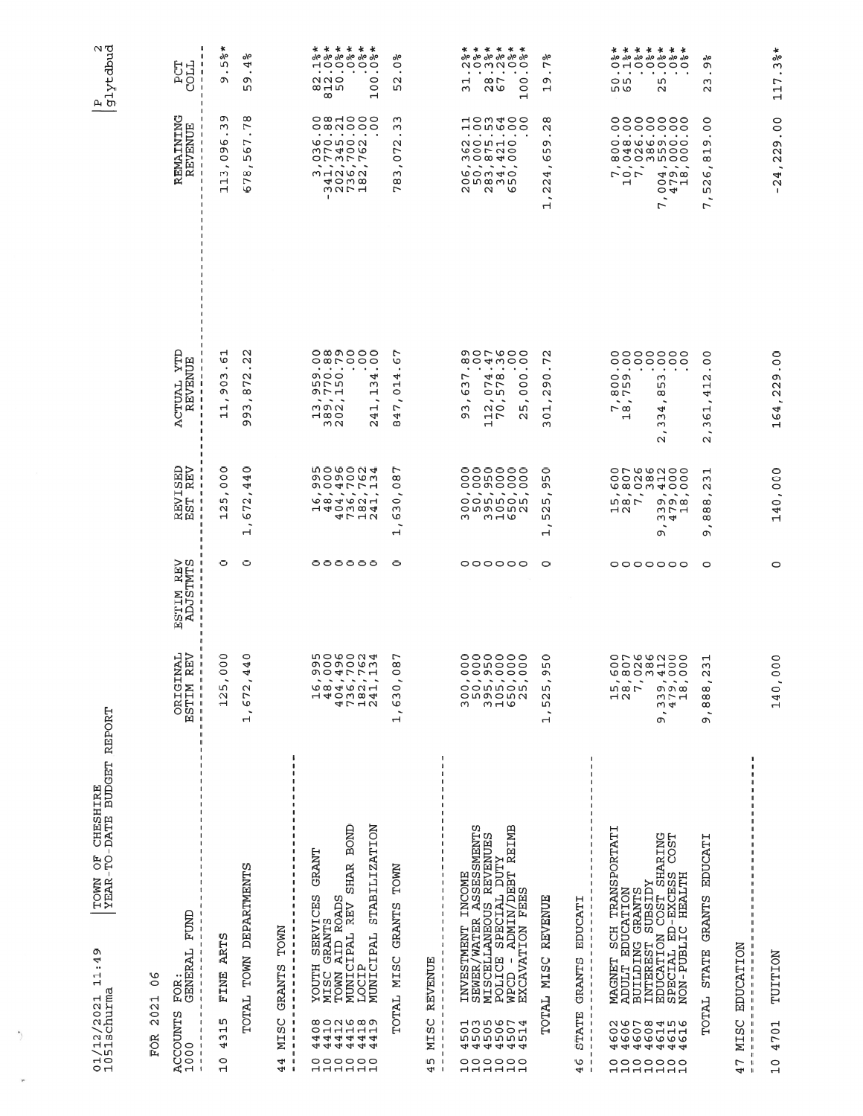| ì<br>t<br>-<br>^<br>^^^^<br>ו<br>נו<br>ŗ<br>.<br>אני<br>-<br>र | $\frac{1}{1}$<br>)                                                        |
|----------------------------------------------------------------|---------------------------------------------------------------------------|
| i<br>くて                                                        | ר<br>החיים<br>しけく トーム<br>しょうしょく<br>ć<br>E<br>۱<br>ı<br>$\frac{1}{2}$<br>I |

 $\overline{\phantom{a}}$ 

¥

|YEAR-TO-DATE BUDGET REPORT

| $\frac{8}{1}$<br>2021<br><b>FOR</b>                                                                                                                                                                                                                       |                                                                                                                                                                                                                                                                                                                                                                                                                                                                                                                                           |                                                                                                                                                                          |                                                                                                                      |                                                                                                                                                                                                                                                                                                   |                                                                                                                                                                                                       |                                                                                                                                                                       |
|-----------------------------------------------------------------------------------------------------------------------------------------------------------------------------------------------------------------------------------------------------------|-------------------------------------------------------------------------------------------------------------------------------------------------------------------------------------------------------------------------------------------------------------------------------------------------------------------------------------------------------------------------------------------------------------------------------------------------------------------------------------------------------------------------------------------|--------------------------------------------------------------------------------------------------------------------------------------------------------------------------|----------------------------------------------------------------------------------------------------------------------|---------------------------------------------------------------------------------------------------------------------------------------------------------------------------------------------------------------------------------------------------------------------------------------------------|-------------------------------------------------------------------------------------------------------------------------------------------------------------------------------------------------------|-----------------------------------------------------------------------------------------------------------------------------------------------------------------------|
| FUND<br>FOR:<br>GENERAL<br>$\overline{\phantom{a}}$<br>J<br>ACCOUNTS<br>1000<br>$\mathbf{I}$                                                                                                                                                              | NAL<br>REV<br>$\overline{\phantom{a}}$<br><b>SETIME</b><br>HSTIME<br>$\overline{\phantom{a}}$<br>$\begin{array}{c} \rule{0pt}{2.5ex} \rule{0pt}{2.5ex} \rule{0pt}{2.5ex} \rule{0pt}{2.5ex} \rule{0pt}{2.5ex} \rule{0pt}{2.5ex} \rule{0pt}{2.5ex} \rule{0pt}{2.5ex} \rule{0pt}{2.5ex} \rule{0pt}{2.5ex} \rule{0pt}{2.5ex} \rule{0pt}{2.5ex} \rule{0pt}{2.5ex} \rule{0pt}{2.5ex} \rule{0pt}{2.5ex} \rule{0pt}{2.5ex} \rule{0pt}{2.5ex} \rule{0pt}{2.5ex} \rule{0pt}{2.5ex} \rule{0$<br>$\overline{\phantom{a}}$<br>$\overline{\phantom{a}}$ | ESTIM REV<br>ADJSTMTS<br>- I<br>$\overline{\phantom{a}}$<br>$\overline{\phantom{a}}$<br>$\overline{\phantom{a}}$<br>$\overline{\phantom{a}}$<br>$\overline{\phantom{a}}$ | <b>EVISED</b><br>ST REV<br>-1<br>$\mathbf{I}$<br>网口<br>- 1                                                           | ACTUAL YTD<br>REVENUE<br>H                                                                                                                                                                                                                                                                        | REMAINING<br>REVENUE<br>- I<br>$\blacksquare$<br>-1                                                                                                                                                   | <b>TTOC</b><br>COLL<br>$\mathbf{I}$<br>-1                                                                                                                             |
| <b>ARTS</b><br>FINE<br>ம<br>$\mathbf{\mathbf{r}}$<br>ω<br>4<br>$\frac{0}{1}$                                                                                                                                                                              | 0<br>$\circ$<br>C<br>гυ<br>$\frac{2}{1}$                                                                                                                                                                                                                                                                                                                                                                                                                                                                                                  | 0                                                                                                                                                                        | 0<br>OO<br>m<br>$\mathbf{\Omega}$<br>Н                                                                               | ⊣<br>9<br>ω<br>0<br>Ō<br>$\ddot{\phantom{0}}$<br>ب<br>$\mathord{\dashv}$                                                                                                                                                                                                                          | ጣ<br>ω<br>৩<br>ጣ<br>0<br>$\ddot{\phantom{0}}$<br>ω<br>4<br>Н                                                                                                                                          | $\ast$<br>o\o<br>ιл<br>$\bullet$<br>ጣ                                                                                                                                 |
| TOTAL TOWN DEPARTMENTS                                                                                                                                                                                                                                    | $\circ$<br>4<br>4<br>1,672                                                                                                                                                                                                                                                                                                                                                                                                                                                                                                                | 0                                                                                                                                                                        | $\circ$<br>4<br>4<br>672<br>$\overline{\phantom{a}}$<br>$\mathbf{\mathbf{r}}$                                        | $\mathbf \alpha$<br>$\mathbf{\Omega}$<br>$\mathbf{\Omega}$<br>L<br>∞<br>٠<br>ω<br>m<br>c                                                                                                                                                                                                          | $\infty$<br>$\overline{r}$<br>r<br>৩<br>m<br>$\infty$<br>1<br>৩                                                                                                                                       | °/ہ<br>4<br>$\bullet$<br>ጣ<br>w                                                                                                                                       |
| TOWN<br>GRANTS<br>$\mathbf{I}$<br>$\overline{\phantom{a}}$<br>J,<br>MISC<br>-1<br>$\overline{\phantom{a}}$<br>ı<br>4<br>$\mathbf{I}$<br>4<br>$\overline{\phantom{a}}$                                                                                     |                                                                                                                                                                                                                                                                                                                                                                                                                                                                                                                                           |                                                                                                                                                                          |                                                                                                                      |                                                                                                                                                                                                                                                                                                   |                                                                                                                                                                                                       |                                                                                                                                                                       |
| BOND<br><b>STABILIZATION</b><br>GRANT<br><b>SHAR</b><br><b>SERVICES</b><br>AID ROADS<br>MUNICIPAL REV<br>GRANTS<br>MUNICIPAL<br><b>HLLOOX</b><br>LOCIP<br>MISC<br>TOWN<br>800 N V 8 9<br>0 1 1 1 1 1 1<br>0 1 1 1 1 1 1<br>4 4 4 4 4 4<br>000000<br>ннннн | <b>500004</b><br>のつのつしつ<br>ጣ<br>⇥<br>₽                                                                                                                                                                                                                                                                                                                                                                                                                                                                                                    | 000000                                                                                                                                                                   | <b>500004</b><br>のつのつしい<br>つひきワワユ<br>$\overline{\phantom{a}}$<br>684621<br>140004<br>4712                            | $\circ$ $\circ$ $\circ$ $\circ$ $\circ$<br>$\circ$ $\circ$ $\circ$ $\circ$ $\circ$<br>$\bullet$<br>$\bullet$<br>٠<br>000<br>4<br>iu L ru<br>ω<br>のレコ<br>ᆏ<br>$\sim$ $\sim$<br>$\overline{\phantom{a}}$<br>۰,<br>$m \circ n$<br>$\mathbf{r}$<br>$\theta$ $\infty$<br>4<br>m N<br>$\mathbf{\Omega}$ | $\circ$ $\circ$ $\circ$ $\circ$ $\circ$<br>$\bullet$<br>$\sim 10-10$<br>$\blacksquare$<br><b>vonon</b><br>うてきりる<br>O7377<br>$\begin{array}{c}\n\ddots \\ \hline\n\end{array}$<br>30000<br>٠           | * * * * * *<br>olo olo olo olo olo olo<br>HOOOOO<br>$\bullet$<br>$\ddot{\phantom{1}}$<br>٠<br>٠.<br>220<br>215<br>$\circ$<br>0<br>$\infty$<br>$\mathbf{\mathbf{r}}$   |
| TOWN<br>GRANTS<br>TOTAL MISC                                                                                                                                                                                                                              | ∼<br>$\infty$<br>⌒<br>0<br>$\bar{6}$<br>$\ddot{\phantom{0}}$<br>$\mathbf{r}$                                                                                                                                                                                                                                                                                                                                                                                                                                                              | 0                                                                                                                                                                        | $\infty$<br>0<br>0<br>ო<br>৩<br>$\overline{\phantom{a}}$<br>ᅱ                                                        | ∼<br>৩<br>$\bullet$<br>4<br>$\overline{C}$<br>$\ddot{\phantom{0}}$<br>L<br>4<br>$^\infty$                                                                                                                                                                                                         | ო<br>ω<br>$\mathbf \alpha$<br>L<br>$\circ$<br>٠<br>ω<br>$\infty$                                                                                                                                      | o١٥<br>0<br>$\bullet$<br>$\mathbf{\Omega}$<br>ഗ                                                                                                                       |
| REVENUE<br>J<br>1<br>J,<br>1<br>MISC<br>$\mathbf{I}$<br>J<br>$\mathbf{I}$<br>ι∩<br>$\mathbf{I}$<br>4<br>$\mathbf{I}$                                                                                                                                      |                                                                                                                                                                                                                                                                                                                                                                                                                                                                                                                                           |                                                                                                                                                                          |                                                                                                                      |                                                                                                                                                                                                                                                                                                   |                                                                                                                                                                                                       |                                                                                                                                                                       |
| INVESTMENT INCOME<br>SEWER/WATER ASSESSMENTS<br>REIMB<br>MISCELLANEOUS REVENUES<br>POLICE SPECIAL DUTY<br>ADMIN/DEBT<br>EXCAVATION FEES<br>WPCD -<br>1111111<br>000000                                                                                    | 000000<br>000000<br>ഹ                                                                                                                                                                                                                                                                                                                                                                                                                                                                                                                     | 000000                                                                                                                                                                   | 000000<br>oowooo<br>000000<br>$\sim$<br>$\overline{\phantom{a}}$<br>oowwow<br>ongona<br>ω<br>$M \cup D$              | のついしの<br>004000<br>$\bullet$<br>$\bullet$<br>٠<br>$\cdot$<br>$\bullet$<br>4⊓ დ<br>$\circ$<br>∼<br>$\circ$<br>ω<br>レレ<br>৩<br>0<br>m<br>$\circ$<br>٠<br>ω<br>$\sim$<br>ഗ<br>ጣ<br>$\overline{1}$<br>$\sim$<br>H                                                                                     | 400400<br>dowoo<br>$\mathbf{a} = \mathbf{a} + \mathbf{a} + \mathbf{a}$<br>$\bullet$<br><b>NONHO</b><br>しつてとの<br>$\sim$ $\sim$ $\sim$<br>60040<br>o n ∞ w n<br>$\mathbf{\Omega}$<br>$\mathbf 2$<br>৩   | * * * * * *<br>oyo oyo oyo oyo oyo oyo<br>ぺっぺく<br>00<br>٠<br>٠<br>$\cdot$<br>٠<br>$\bullet$<br>$\circ$<br>$\infty$<br>$\mathbf{\mathbf{r}}$<br>$\sim$<br>$\circ$<br>ω |
| <b>REVENUE</b><br>TOTAL MISC                                                                                                                                                                                                                              | $\circ$<br>m<br>ጣ<br>w<br>52<br>٠                                                                                                                                                                                                                                                                                                                                                                                                                                                                                                         | 0                                                                                                                                                                        | $\circ$<br>ഗ<br>c<br>m<br>$\mathbf{\Omega}$<br>w<br>$\mathbf{\mathbf{r}}$                                            | $\mathbf{\Omega}$<br>L<br>$\cdot$<br>$\circ$<br>Ō<br>$\mathbf{\Omega}$<br>Н<br>$\circ$<br>ო                                                                                                                                                                                                       | $\infty$<br>$\mathbf{\Omega}$<br>٠.<br>ጣ<br>ഗ<br>৩<br>$\overline{\phantom{a}}$<br>4<br>$\mathbf{\Omega}$<br>$\mathbf{\Omega}$<br>$\ddot{\phantom{1}}$                                                 | °/°<br>L<br>$\ddot{\phantom{1}}$<br>c<br>Н                                                                                                                            |
| EDUCATI<br>GRANTS<br><b>STATE</b><br>6<br>4<br>- 1                                                                                                                                                                                                        |                                                                                                                                                                                                                                                                                                                                                                                                                                                                                                                                           |                                                                                                                                                                          |                                                                                                                      |                                                                                                                                                                                                                                                                                                   |                                                                                                                                                                                                       |                                                                                                                                                                       |
| SCH TRANSPORTATI<br>GRANTS<br>EDUCATION<br><b>BUILDING</b><br>MAGNET<br><b>ADULT</b>                                                                                                                                                                      | 1807                                                                                                                                                                                                                                                                                                                                                                                                                                                                                                                                      |                                                                                                                                                                          | $\overline{\phantom{a}}$<br>$\overline{\phantom{a}}$<br><b>ഗ</b> യ പ<br>$\overline{a}$                               | $\bullet$<br>$\blacksquare$<br>$\bullet$<br>$\circ$<br>oю<br>$\infty$<br>$\sim \infty$<br>$\overline{\phantom{0}}$                                                                                                                                                                                | $\sim$<br>ror.<br>$\mathbf{\mathbf{r}}$                                                                                                                                                               | $\bullet$<br>٠<br>٠<br>OIJ<br>m vo                                                                                                                                    |
| EDUCATION COST SHARING<br>SPECIAL ED-EXCESS COST<br>NON-PUBLIC HEALTH<br><b>ZCLSSIDS</b><br><b>INTEREST</b><br>aaaaaaa<br>ooooooo                                                                                                                         | orwwaoo<br>oon∞⊣oo<br>479, 479, 18<br>ጣ                                                                                                                                                                                                                                                                                                                                                                                                                                                                                                   | 0000000                                                                                                                                                                  | OL QUADO<br><b>wwow400</b><br>$\sim$<br>٠<br>ത ത യ<br>ヒコ<br>$\omega$ 4<br>ጣ                                          | 0000000<br>0000000<br>$\bullet$<br>$\bullet$<br>ω<br>ιη<br>$^\infty$<br>4<br>ω<br>ω<br>٠<br>$\mathbf{\Omega}$                                                                                                                                                                                     | 0000000<br>0000000<br>$\sim$ $\sim$ $\sim$ $\sim$<br>O 3 4 4 8 5 0 0<br>O 4 4 8 5 0 0<br><b>∞</b> oomnoo<br>$\hat{\phantom{a}}$<br>٠<br>-<br>400<br>O <sub>7</sub><br>$\sim$ 4<br>٠<br>$\overline{ }$ | * * * * * * *<br>0/0 0/0 0/0 0/0 0/0 0/0 0/0<br>0100000<br>٠<br>$\bullet$<br>m<br>$\mathbf{\Omega}$                                                                   |
| EDUCATI<br>GRANTS<br><b>STATE</b><br>TOTAL                                                                                                                                                                                                                | Н<br>ო<br>$\mathbf{\Omega}$<br>9,888                                                                                                                                                                                                                                                                                                                                                                                                                                                                                                      | $\circ$                                                                                                                                                                  | $\mathbf{\mathbf{\mathsf{H}}}$<br>ω<br>N<br>$\overline{\phantom{a}}$<br>$^\infty$<br>$\infty$<br>$^\infty$<br>٠<br>ጣ | $\circ$<br>$\circ$<br>٠<br>$\mathbf{\Omega}$<br>$\mathbf{\mathbf{r}}$<br>4<br>$\overline{\phantom{a}}$<br>Н<br>O<br>ω<br>$\overline{\phantom{a}}$<br>$\mathbf{\Omega}$                                                                                                                            | $\circ$<br>0<br>٠<br>ጣ<br>$\mathbf{\mathsf{H}}$<br>$^\infty$<br>৩<br>$\mathbf{\Omega}$<br>m<br>$\overline{\phantom{a}}$<br>$\overline{ }$                                                             | °/ە<br>ጣ<br>$\bullet$<br>ო<br>$\mathbf{\Omega}$                                                                                                                       |
| EDUCATION<br>$\blacksquare$<br>MISC<br>L<br>J.<br>4                                                                                                                                                                                                       |                                                                                                                                                                                                                                                                                                                                                                                                                                                                                                                                           |                                                                                                                                                                          |                                                                                                                      |                                                                                                                                                                                                                                                                                                   |                                                                                                                                                                                                       |                                                                                                                                                                       |
| TUITTION<br>4701<br>$\overline{10}$                                                                                                                                                                                                                       | O<br>$\circ$<br>140,0                                                                                                                                                                                                                                                                                                                                                                                                                                                                                                                     | 0                                                                                                                                                                        | 140,000                                                                                                              | 00.<br>164,229                                                                                                                                                                                                                                                                                    | 00.<br>$-24, 229$                                                                                                                                                                                     | $.3\frac{2}{6}$ *<br>117                                                                                                                                              |

 $\begin{array}{c} \boxed{\text{p}} \\ \boxed{\text{g1ytdbud}} \end{array}$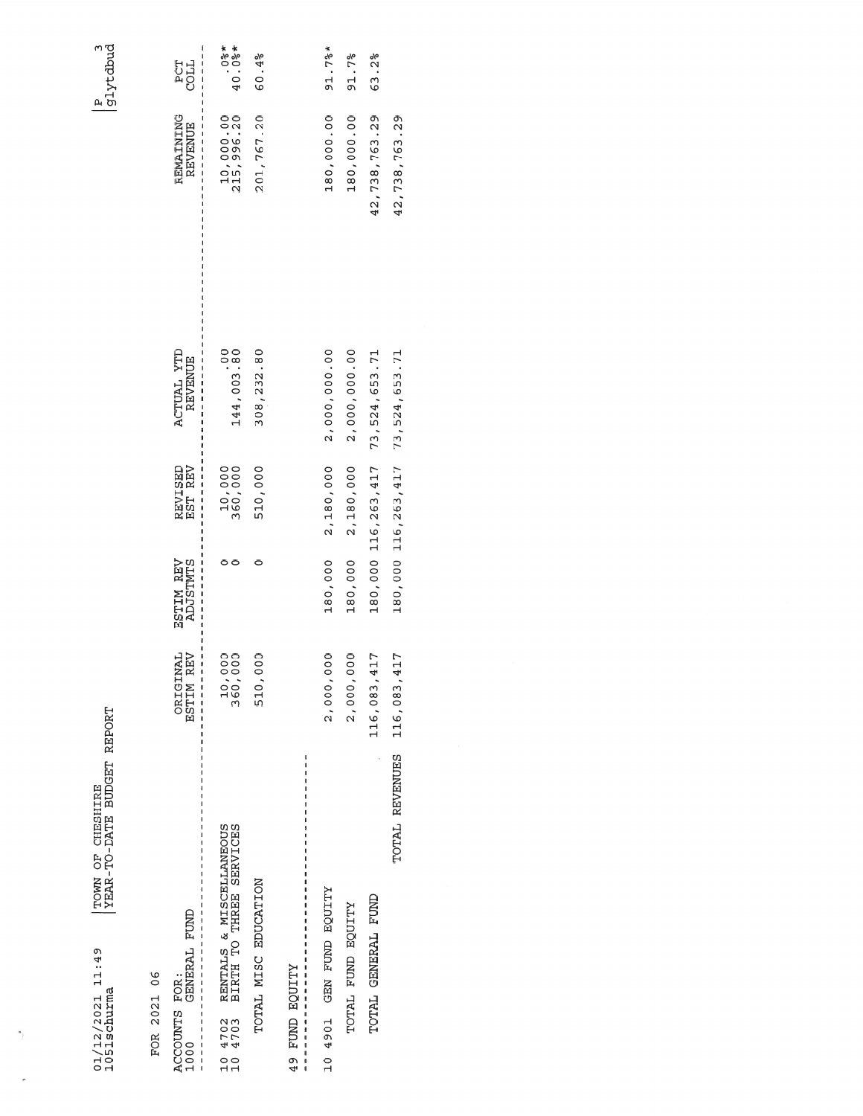$\gamma$ 

ROR 2021 06

| FUR 2021 DO                                                              |                                                         |                       |                              |                              |                             |                     |
|--------------------------------------------------------------------------|---------------------------------------------------------|-----------------------|------------------------------|------------------------------|-----------------------------|---------------------|
| GENERAL FUND<br>ACCOUNTS FOR:<br>1000                                    | <b>ORIGINAL</b><br><b>REV</b><br>ESTIM<br>$\frac{1}{1}$ | ESTIM REV<br>ADJSTMTS | <b>REV</b><br>REVISED<br>EST | ACTUAL YTD<br><b>REVENUE</b> | REMAINING<br><b>REVENUE</b> | <b>ECOC</b><br>COCL |
| RENTALS & MISCELLANEOUS<br>BIRTH TO THREE SERVICES<br>10 4702<br>10 4703 | 00<br>00<br>00<br>- 10,<br>360,                         |                       | 10,000<br>360,000            | 144,003.80                   | 10,000.000<br>215,996.20    | $*80.04$            |
| TOTAL MISC EDUCATION                                                     | 000<br>510,                                             | 0                     | 510,000                      | 308, 232.80                  | 201,767.20                  | 60.4%               |
| A9 FUND EQUITY                                                           |                                                         |                       |                              |                              |                             |                     |
| XLIDOS GNA NED 1066 10                                                   | 000<br>2,000,                                           | 180,000               | 2,180,000                    | 2,000,000.00                 | 180,000.00                  | 91.7%               |
| TOTAL FUND EQUITY                                                        | 2,000,000                                               | 180,000               | 2,180,000                    | 2,000,000.00                 | 180,000.00                  | 91.7%               |
| TOTAL GENERAL FUND                                                       | 116,083,417                                             |                       | 180,000 116,263,417          | 73, 524, 653. 71             | 42, 738, 763.29             | 63.2%               |
| TOTAL REVENUES                                                           | 116,083,417                                             |                       | 180,000 116,263,417          | 73, 524, 653. 71             | 42, 738, 763.29             |                     |
|                                                                          |                                                         |                       |                              |                              |                             |                     |

 $\begin{array}{c} p \\ \hline g1ytdbud \end{array}$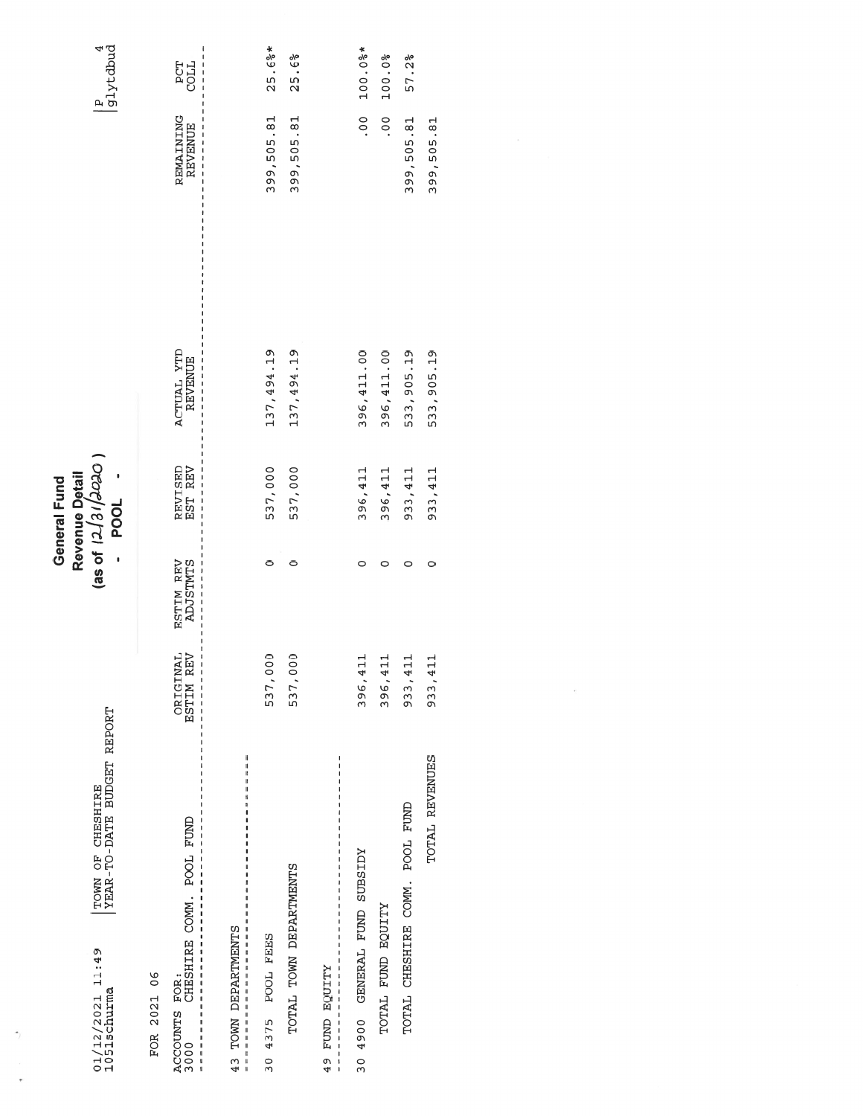| TOWN OF CHESHIRE<br>YEAR-TO-DATE BUDGET REPORT<br>$01/12/2021$ $11:49$<br>$1051$ schurma                                               |                         |                       | Revenue Detail<br>(as of 12/31/2020<br>POOL -<br>General Fund |                              |                             | $\frac{1}{9}$<br>$\frac{4}{9}$ |
|----------------------------------------------------------------------------------------------------------------------------------------|-------------------------|-----------------------|---------------------------------------------------------------|------------------------------|-----------------------------|--------------------------------|
| ACCOUNTS FOR:<br>3000 CHESHIRE COMM. POOL FUND<br>FOR 2021 06                                                                          | ORIGINAL<br>ESTIM REV   | ESTIM REV<br>ADJSTMTS | REVISED<br>EST REV                                            | ACTUAL YTD<br><b>REVENUE</b> | REMAINING<br><b>REVENUE</b> | <b>TTOC</b>                    |
| I<br>ı<br>TOWN DEPARTMENTS<br>43<br>$\mathfrak l$                                                                                      |                         |                       |                                                               |                              |                             |                                |
| 30 4375 POOL FEES                                                                                                                      | 537,000                 | $\circ$               | 537,000                                                       | 137, 494.19                  | 399,505.81                  | 25.6%                          |
| TOTAL TOWN DEPARTMENTS                                                                                                                 | $\overline{0}$<br>537,0 | 0                     | 537,000                                                       | 137, 494.19                  | 399,505.81                  | 25.6%                          |
| ı<br>ł<br>ı<br>$\begin{array}{c} 1 \\ 1 \\ 1 \\ 1 \\ 1 \\ 1 \end{array}$<br><b>ALIDO BOOTLA</b><br>$\frac{1}{1}$<br>49<br>$\mathbf{I}$ |                         |                       |                                                               |                              |                             |                                |
| A 00 0 GENERAL LUND SUBSIDY<br>30                                                                                                      | 396,411                 | 0                     | 396,411                                                       | 396,411.00                   | $\frac{0}{0}$               | 100.0%*                        |
| TOTAL FUND EQUITY                                                                                                                      | 396,411                 | 0                     | 396,411                                                       | 396,411.00                   | 00.                         | 100.0%                         |
| TOTAL CHESHIRE COMM. POOL FUND                                                                                                         | $\mathbf{1}$<br>933, 4  | $\circ$               | 933,411                                                       | 533,905.19                   | 399,505.81                  | 57.2%                          |
| TOTAL REVENUES                                                                                                                         | $\frac{1}{1}$<br>933, 4 | 0                     | 933,411                                                       | 533,905.19                   | 399,505.81                  |                                |
|                                                                                                                                        |                         |                       |                                                               |                              |                             |                                |

é

 $\frac{1}{2}$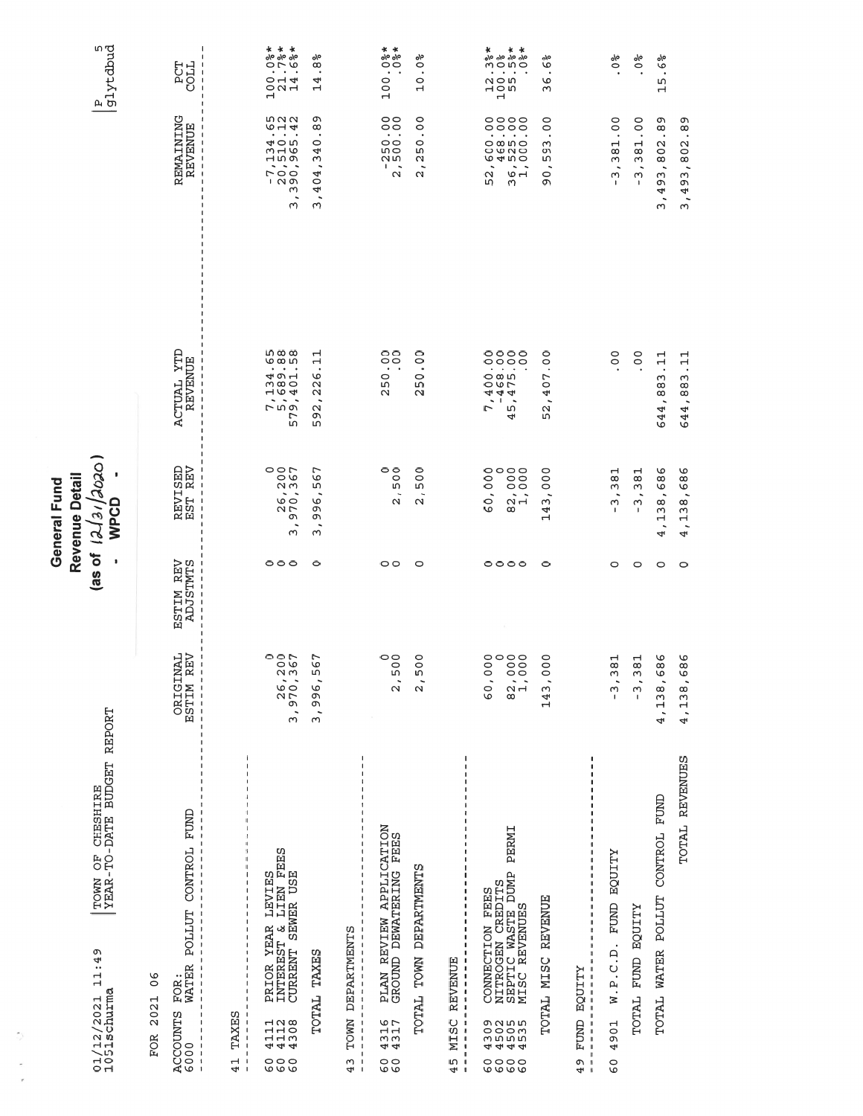|                                                                                                                                                                                                                                                                                                |                                                                     | las of                | Revenue Detail<br>General Fund<br>12/3/                                                                                                                                                                                                                                                                                                                |                                                                                                                                                           |                                                                                                                                                                                                         |                                                                                                    |
|------------------------------------------------------------------------------------------------------------------------------------------------------------------------------------------------------------------------------------------------------------------------------------------------|---------------------------------------------------------------------|-----------------------|--------------------------------------------------------------------------------------------------------------------------------------------------------------------------------------------------------------------------------------------------------------------------------------------------------------------------------------------------------|-----------------------------------------------------------------------------------------------------------------------------------------------------------|---------------------------------------------------------------------------------------------------------------------------------------------------------------------------------------------------------|----------------------------------------------------------------------------------------------------|
| TOWN OF CHESHIRE<br>YEAR-TO-DATE BUDGET REPORT<br>11:49<br>01/12/2021<br>1051schurma                                                                                                                                                                                                           |                                                                     | 1                     | OCOC<br>٠<br>WPCD                                                                                                                                                                                                                                                                                                                                      |                                                                                                                                                           |                                                                                                                                                                                                         | P<br>glytdbud                                                                                      |
| $\frac{6}{1}$<br>FOR 2021                                                                                                                                                                                                                                                                      |                                                                     |                       |                                                                                                                                                                                                                                                                                                                                                        |                                                                                                                                                           |                                                                                                                                                                                                         |                                                                                                    |
| POLLUT CONTROL FUND<br>FOR:<br>WATER<br>ACCOUNTS<br>6000<br>п<br>$\frac{1}{1}$<br>$\overline{1}$                                                                                                                                                                                               | <b>L</b> AL<br><b>NE</b><br>ORIGIN<br>ESTIM R                       | ESTIM REV<br>ADJSTMTS | REVISED<br>EST REV                                                                                                                                                                                                                                                                                                                                     | <b>TTD</b><br>REVENUE<br>ACTUAL                                                                                                                           | REMAINING<br><b>REVENUE</b>                                                                                                                                                                             | <b>TROD</b><br>LDB                                                                                 |
| ٠<br>٠<br>TAXES<br>$\mathbf{I}$<br>J,<br>41<br>f,<br>$\mathbf{I}$                                                                                                                                                                                                                              |                                                                     |                       |                                                                                                                                                                                                                                                                                                                                                        |                                                                                                                                                           |                                                                                                                                                                                                         |                                                                                                    |
| PRIOR YEAR LEVIES<br>INTEREST & LIEN FEES<br>CURRENT SEWER USE<br>4112<br>4112<br>4308<br>०००<br>७७७                                                                                                                                                                                           | っっい<br>$\circ$<br>3,970,36                                          | $\circ \circ \circ$   | 200<br>90<br>$\sim$ $\sim$<br>$\overrightarrow{6}$<br>$\sim$ $\sim$<br>G<br>$\sim$                                                                                                                                                                                                                                                                     | 8<br>68<br>68<br>68<br>7,134<br>5,689.<br>9,401.<br>57                                                                                                    | $-7,134.65$<br>20,510.12<br>390,965.42<br>$\overline{\phantom{a}}$<br>ω                                                                                                                                 | * * *<br>$\frac{96}{96}$ $\frac{96}{9}$ $\frac{96}{9}$<br>$\blacksquare$<br>$O - 4$<br>$O$ $N$ $H$ |
| <b>TAXES</b><br>TOTAL                                                                                                                                                                                                                                                                          | L<br>م<br>ഗ<br>3,996                                                | $\circ$               | 67<br>m<br>G<br>ጣ<br>ጣ<br>٠<br>ω                                                                                                                                                                                                                                                                                                                       | ⊣<br>$\overline{\phantom{0}}$<br>$\frac{6}{2}$<br>$\mathbf{\Omega}$<br>٠<br>$\sim$<br>G<br>ഗ                                                              | ጣ<br>$^\infty$<br>$\bullet$<br>$\circ$<br>4<br>ო<br>$\overline{\phantom{a}}$<br>04<br>4<br>$\ddot{\phantom{0}}$<br>ω                                                                                    | °/0<br>${}^{\circ}$<br>4<br>щ                                                                      |
| DEPARTMENTS<br>$1 + 1 + 1 + 1 + 1 + 1 + 1$<br>$\,$ I<br>$\mathbf{I}$<br><b>TOWN</b><br>$\overline{\phantom{a}}$<br>$\frac{1}{1}$<br>$\overline{\phantom{a}}$<br>J,<br>43<br>$\mathbf{I}$<br>$\overline{\phantom{a}}$                                                                           |                                                                     |                       |                                                                                                                                                                                                                                                                                                                                                        |                                                                                                                                                           |                                                                                                                                                                                                         |                                                                                                    |
| PLAN REVIEW APPLICATION<br>GROUND DEWATERING FEES<br>4316<br>4317<br>၀၀<br>ဖ                                                                                                                                                                                                                   | $\circ$<br>$\circ$<br>ഗ<br>$\overline{\mathcal{L}}$                 | $\circ$               | 00000<br>$\mathbf{\Omega}$                                                                                                                                                                                                                                                                                                                             | $\circ$<br>$\circ$<br>$\bullet$<br>$\circ$<br>١<br>$\mathbf{\Omega}$                                                                                      | $\circ$<br>$\ddot{\cdot}$<br>$\circ$<br>m O<br>иm<br>$1 - 5$<br>$\mathbf{\Omega}$                                                                                                                       | * *<br>$\frac{1}{2}$<br>$\bullet$<br>$\circ$<br>$\circ$<br>$\mathbf{\mathbf{\mathsf{H}}}$          |
| TOWN DEPARTMENTS<br>TOTAL                                                                                                                                                                                                                                                                      | $\rm ^{\circ}$<br>2,5                                               | $\circ$               | 500<br>٠<br>$\mathbf{\Omega}$                                                                                                                                                                                                                                                                                                                          | 0<br>$\circ$<br>$\,$<br>50<br>$\mathbf{\Omega}$                                                                                                           | $\circ$<br>$\circ$ .<br>$\circ$<br>гυ<br>$\mathbf{\Omega}$<br>$\overline{\phantom{a}}$<br>Ν                                                                                                             | °/ە<br>$\circ$<br>$\bullet$<br>$\circ$<br>$\overline{\phantom{0}}$                                 |
| $\mathbf{I}$<br>REVENUE<br>$\mathbf{I}$<br>$\mathsf I$<br>$\pmb{\cdot}$<br>$\pmb{\mathfrak{t}}$<br>$\mathbf{I}$<br>MISC<br>$\mathbf{I}$<br>$\mathbf I$<br>$\mathbf{I}$<br>f,<br>45<br>$\mathbf{I}$<br>$\overline{\phantom{a}}$                                                                 |                                                                     |                       |                                                                                                                                                                                                                                                                                                                                                        |                                                                                                                                                           |                                                                                                                                                                                                         |                                                                                                    |
| PERMI<br>NITROGEN CREDITS<br>SEPTIC WASTE DUMP<br>MISC REVENUES<br>CONNECTION FEES<br>9<br>0000<br>0000<br>4444<br>0000<br>000                                                                                                                                                                 | 0000<br>$\circ$<br>$\circ$<br>60,0<br>$\frac{0}{2}$ , $\frac{0}{1}$ | 0000                  | $\begin{smallmatrix} . & 0 & 0 & 0 \\ 0 & 0 & 0 & 0 \\ 0 & 0 & 0 & 0 \\ 1 & 0 & 0 & 0 \\ 0 & 0 & 0 & 0 \\ 0 & 0 & 0 & 0 \\ 0 & 0 & 0 & 0 \\ 0 & 0 & 0 & 0 \\ 0 & 0 & 0 & 0 \\ 0 & 0 & 0 & 0 \\ 0 & 0 & 0 & 0 \\ 0 & 0 & 0 & 0 \\ 0 & 0 & 0 & 0 \\ 0 & 0 & 0 & 0 \\ 0 & 0 & 0 & 0 & 0 \\ 0 & 0 & 0 & 0 & 0 \\ 0 & 0 & 0 & 0 & 0 \\ 0$<br>6<br>$^\infty$ | $\begin{array}{c} 0 & 0 & 0 \\ 0 & 0 & 0 \\ 0 & 0 & 0 \end{array}$<br>4000<br>4465<br>475<br>$\sim 1$<br>$\ddot{\phantom{1}}$<br>$\overline{ }$<br>w<br>4 | $\begin{array}{c} 0 & 0 & 0 \\ 0 & 0 & 0 \\ 0 & 0 & 0 \\ \end{array}$<br>$\overline{\phantom{a}}$<br>$\tilde{\phantom{a}}$<br>$\overline{\phantom{a}}$<br>$\mathbf{\Omega}$<br>$\circ$ $\sim$<br>w<br>ω | 8<br>% % % %<br>% % % %<br>% 0 10 0<br>$\bullet$ . $\bullet$ . $\bullet$<br>1055<br>1055           |
| TOTAL MISC REVENUE                                                                                                                                                                                                                                                                             | 0<br>$\circ$<br>143,0                                               | $\circ$               | 000<br>$\ddot{\phantom{1}}$<br>$\sim$<br>4<br>Н                                                                                                                                                                                                                                                                                                        | $\circ$<br>$\circ$<br>$\,$ .<br>L<br>$\circ$<br>$\frac{4}{1}$<br>52                                                                                       | $\circ$<br>$\circ$<br>$\cdot$<br>ω<br>c<br>ഗ<br>$\overline{\phantom{a}}$<br>$\circ$<br>c                                                                                                                | o/o<br>$\circ$<br>$\bullet$<br>৩<br>ς                                                              |
| -1<br>J<br>$\mathbf{I}$<br>$\overline{\phantom{a}}$<br><b>EQUITY</b><br>$\frac{1}{1}$<br>$\begin{array}{c} \hline \end{array}$<br>$\mathbf{I}$<br>$\mathbf{I}$<br>FUND<br>$\mathsf I$<br>$\mathbf{I}$<br>$\begin{array}{c} \hline \end{array}$<br>$\overline{\phantom{a}}$<br>I<br>o<br>I<br>4 |                                                                     |                       |                                                                                                                                                                                                                                                                                                                                                        |                                                                                                                                                           |                                                                                                                                                                                                         |                                                                                                    |
| <b>EQUITY</b><br>FUND<br>W. P. C. D.<br>4901<br>$\overline{6}$                                                                                                                                                                                                                                 | ⊣<br>$\infty$<br>$\frac{1}{2}$<br>$\sim$<br>$\mathbf{I}$            | $\circ$               | ⊣<br>${}^{\circ}$<br>ω<br>ω<br>$\mathbf{I}$                                                                                                                                                                                                                                                                                                            | $\circ$                                                                                                                                                   | $\circ$<br>$\circ$<br>Н<br>${}^{\circ}$<br>ω<br>$\ddot{\phantom{1}}$<br>$\sim$                                                                                                                          | $\frac{6}{6}$                                                                                      |
| <b>ALIND BOOILL</b><br>TOTAL                                                                                                                                                                                                                                                                   | $\overline{a}$<br>$-3, 3$                                           | 0                     | H<br>${}^{\circ}$<br>ω<br>$\sim$<br>1                                                                                                                                                                                                                                                                                                                  | $\circ$                                                                                                                                                   | O<br>$\circ$<br>H<br>${}^{\circ}$<br>ω<br>ω<br>$\mathbf{I}$                                                                                                                                             | °\<br>$\ddot{\circ}$<br>٠                                                                          |
| TOTAL WATER POLLUT CONTROL FUND                                                                                                                                                                                                                                                                | ৩<br>$\infty$<br>৩<br>4, 138,                                       | $\circ$               | G<br>68<br>138<br>$\ddot{\phantom{0}}$<br>4                                                                                                                                                                                                                                                                                                            | $\frac{11}{11}$<br>,883<br>644                                                                                                                            | Ō<br>${}^{\circ}$<br>$\frac{2}{3}$<br>$\infty$<br>493<br>$\ddot{\phantom{1}}$<br>ω                                                                                                                      | o/o<br>G<br>$\ddot{\phantom{1}}$<br>m<br>$\overline{\phantom{0}}$                                  |
| TOTAL REVENUES                                                                                                                                                                                                                                                                                 | ৩<br>$\infty$<br>4,138,6                                            | $\circ$               | 686<br>138<br>$\overline{\phantom{a}}$<br>4                                                                                                                                                                                                                                                                                                            | 금<br>,883<br>644                                                                                                                                          | ጣ<br>$\infty$<br>$\bullet$<br>3,493,802                                                                                                                                                                 |                                                                                                    |

 $\tilde{\mathcal{L}}$ 

 $\tau$ 

 $\ddot{\phantom{a}}$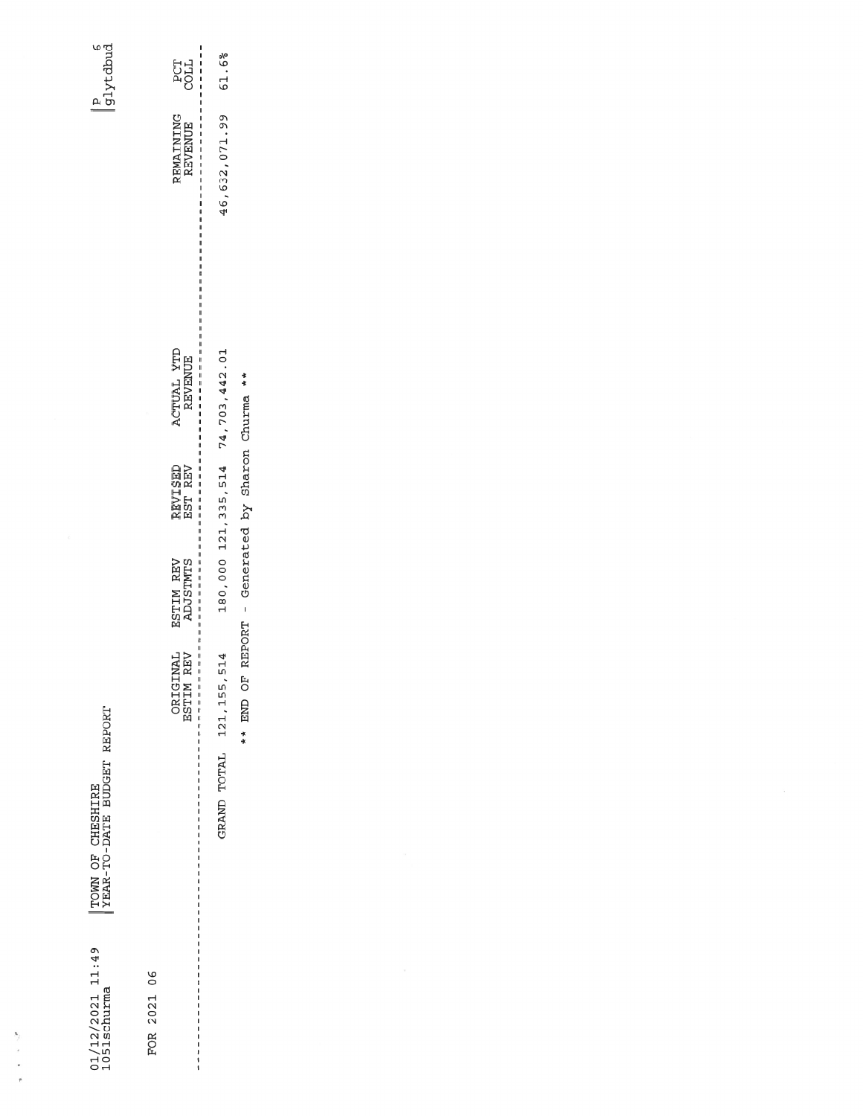|TOWN OF CHESHIRE<br>|YEAR-TO-DATE BUDGET REPORT

 $01/12/2021$  11:49<br>1051schurma

 $\begin{array}{c} \frac{1}{2} \frac{1}{2} \frac{1}{2} \frac{1}{2} \frac{1}{2} \frac{1}{2} \frac{1}{2} \frac{1}{2} \frac{1}{2} \frac{1}{2} \frac{1}{2} \frac{1}{2} \frac{1}{2} \frac{1}{2} \frac{1}{2} \frac{1}{2} \frac{1}{2} \frac{1}{2} \frac{1}{2} \frac{1}{2} \frac{1}{2} \frac{1}{2} \frac{1}{2} \frac{1}{2} \frac{1}{2} \frac{1}{2} \frac{1}{2} \frac{1}{2} \frac{1}{2} \frac{1}{2} \frac{$ 

 $PCT$ REMAINING ACTUAL YTD REVISED ESTIM REV ORIGINAL FOR 2021 06 

| п<br>ı<br><b>LTOC</b>                                                                                   | 61.6%                             |
|---------------------------------------------------------------------------------------------------------|-----------------------------------|
| ı<br>ı<br>REVENUE<br>$\frac{1}{1}$<br>$\frac{1}{1}$<br>$-111111$<br>$\frac{1}{1}$<br>ı<br>$\frac{1}{1}$ | 46,632,071.99                     |
| I<br>$\frac{1}{1}$<br>1<br>ו<br>ו<br>ł<br><b>REVENUE</b><br>$\frac{1}{1}$                               | 180,000 121,335,514 74,703,442.01 |
| ı<br>EST REV<br>ı<br>$\frac{1}{1}$                                                                      |                                   |
| $\overline{\phantom{a}}$<br>ł<br><b>ADJSTMTS</b><br>.                                                   |                                   |
| REV<br>I<br>$\frac{1}{1}$<br><b>ESTIM</b><br>$\frac{1}{1}$                                              | 514<br>121, 155,                  |
| l                                                                                                       | GRAND TOTAL                       |

\*\* END OF REPORT - Generated by Sharon Churma \*\*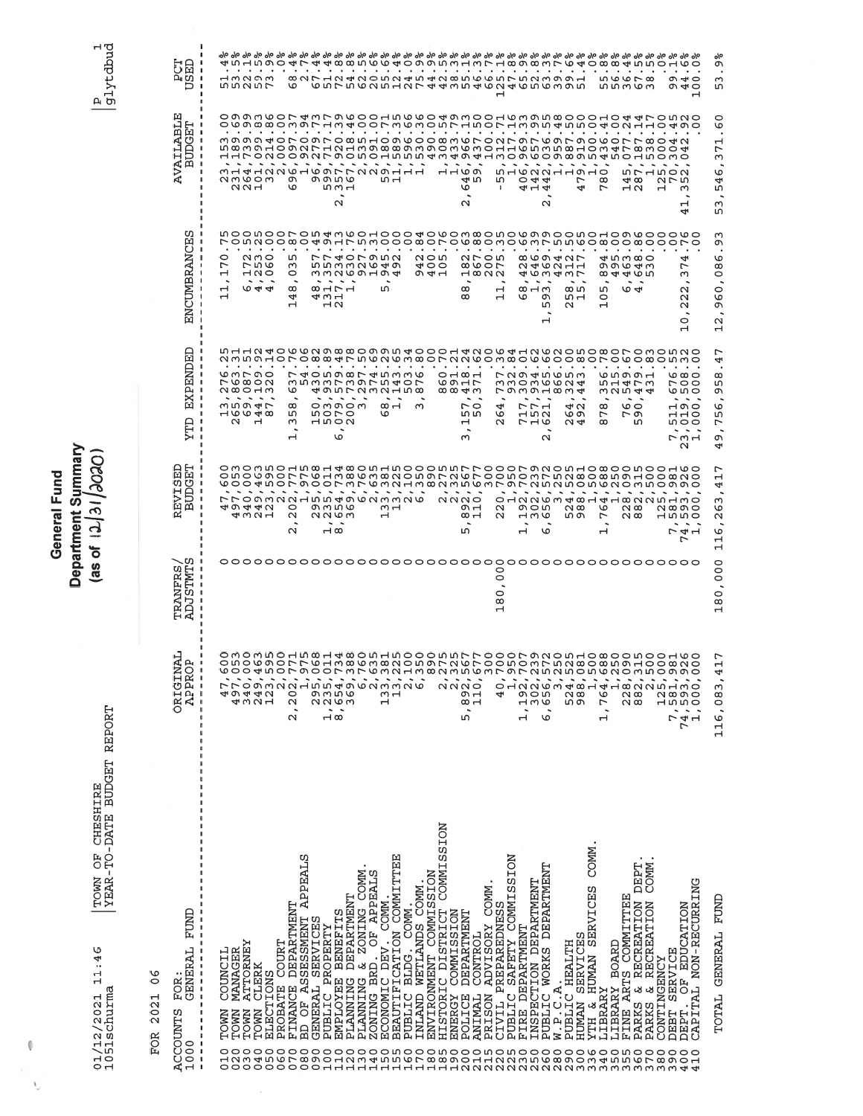TOWN OF CHESHIRE<br>|YEAR-TO-DATE BUDGET REPORT  $01/12/2021$   $11:46$ <br>1051schurma

General Fund<br>Department Summary<br>(as of  $|12|31/303001$ 

 $\begin{array}{c} \boxed{\text{p}} \\ \boxed{\text{g1ytdbud}} \end{array}$ 

| GENERAL FUND<br><b>FOR</b><br>$\overline{\phantom{a}}$<br><b>ACCOUNTS</b><br>1000<br>$\overline{\phantom{a}}$                                                                                                                | <b>TKN</b><br>$\mathbf{p}$<br>O<br><b>ORIGI</b><br>APPR<br>$\begin{array}{c} 1 \\ 1 \\ 1 \end{array}$                                                                                                                       | .U)<br>w<br><b>STMT</b><br>TRANFR<br>ь<br>₽                   | 旵<br>Ēq<br>ທ<br>EDCI<br>EVI.<br>ድ                                                                                                                                                                                                      | 凷<br><b>END:</b><br>EXP <sub>I</sub><br>TTD                                                                                                                                                  | ω<br>ENCUMBRANCE                                                                                        | 凹<br><b>AVAILABL</b><br><b>BUDGET</b>                                                                                                                                                        | оங<br>ă g                                                                                                                                                                                                                                                                                               |
|------------------------------------------------------------------------------------------------------------------------------------------------------------------------------------------------------------------------------|-----------------------------------------------------------------------------------------------------------------------------------------------------------------------------------------------------------------------------|---------------------------------------------------------------|----------------------------------------------------------------------------------------------------------------------------------------------------------------------------------------------------------------------------------------|----------------------------------------------------------------------------------------------------------------------------------------------------------------------------------------------|---------------------------------------------------------------------------------------------------------|----------------------------------------------------------------------------------------------------------------------------------------------------------------------------------------------|---------------------------------------------------------------------------------------------------------------------------------------------------------------------------------------------------------------------------------------------------------------------------------------------------------|
| $\mathbf{I}$<br>$\mathbf{I}$<br>COUNCIL<br>J<br>$\mathbf{I}$<br>$\mathbf{I}$<br>$\mathbf{I}$<br>$\mathbf{I}$<br>$\mathbf{I}$<br>TOWN<br>I<br>$\overline{\mathbf{1}}$<br>H<br>J<br>$\begin{array}{c} 1 \\ 1 \\ 1 \end{array}$ | ı                                                                                                                                                                                                                           |                                                               |                                                                                                                                                                                                                                        |                                                                                                                                                                                              | o<br>∼                                                                                                  |                                                                                                                                                                                              |                                                                                                                                                                                                                                                                                                         |
| MANAGER<br>TOWN<br>020<br>0<br>Н<br>0                                                                                                                                                                                        | 497<br>497                                                                                                                                                                                                                  |                                                               | P P O の M N N H I I I I 4 の W N M M N W<br>49442                                                                                                                                                                                       | しゅっの<br>いんのつい<br>೧೦೦೧ ಗ<br>うらの47<br>$\sqrt{9}$<br>$\sim$                                                                                                                                     | MOONOOLON # W WOHOOO # O WOW WO WOWO WO WOHOO WOOOO W<br>٣<br>Н                                         | m の の の す O 下 O の 下 O 8 U H O の W O O 8 M W L O N L の L O O K L O W O L D O W O L L<br>HHLONOOWNLWONOHNNN4W4W4W4HWOWQOW&W4MOHNOWO<br>314122616977229111<br>こうのり                              | ႕ ო ი თ ო<br><b>uuuur</b>                                                                                                                                                                                                                                                                               |
| <b>ATTORNEY</b><br>TOWN<br>$\circ$<br>س<br>0                                                                                                                                                                                 |                                                                                                                                                                                                                             |                                                               |                                                                                                                                                                                                                                        | ٠                                                                                                                                                                                            |                                                                                                         | へへい                                                                                                                                                                                          |                                                                                                                                                                                                                                                                                                         |
| CLERK<br>TOWN<br>$\circ$<br>4<br>$\circ$                                                                                                                                                                                     | $\begin{array}{c} 0 & 0 \\ 0 & 0 \\ 0 & 0 \\ 0 & 0 \\ 0 & 0 \\ 0 & 0 \end{array}$                                                                                                                                           |                                                               | する21                                                                                                                                                                                                                                   | $\blacksquare$<br>Н                                                                                                                                                                          | $N \cap O$<br>ه ۵ س<br>$\overline{a}$<br>৩ ব্য ব্য                                                      | <b><i>CALCADORES</i></b>                                                                                                                                                                     | $\cdots$                                                                                                                                                                                                                                                                                                |
| <b>ELECTIONS</b><br>$\circ$<br>60                                                                                                                                                                                            |                                                                                                                                                                                                                             |                                                               |                                                                                                                                                                                                                                        | $\bullet$                                                                                                                                                                                    |                                                                                                         |                                                                                                                                                                                              |                                                                                                                                                                                                                                                                                                         |
| COURT<br>PROBATE<br>$\circ$<br>७<br>$\circ$                                                                                                                                                                                  |                                                                                                                                                                                                                             |                                                               |                                                                                                                                                                                                                                        |                                                                                                                                                                                              |                                                                                                         | $\sim$ $\sim$ $\sim$                                                                                                                                                                         |                                                                                                                                                                                                                                                                                                         |
| DEPARTMENT<br><b>FINANCE</b>                                                                                                                                                                                                 |                                                                                                                                                                                                                             |                                                               | ○<br>$\mathbf{\Omega}$<br>$\mathbf{\Omega}$                                                                                                                                                                                            | ৩<br>$\infty$<br>m<br>ω<br>$\mathbf{\mathbf{d}}$                                                                                                                                             | $\bullet$<br>ഗ<br>ω<br>0<br>$\infty$<br>4<br>$\mathbf{r}$                                               | Ō<br>৩                                                                                                                                                                                       | ৩                                                                                                                                                                                                                                                                                                       |
| <b>APPEALS</b><br>BD OF ASSESSMENT                                                                                                                                                                                           |                                                                                                                                                                                                                             |                                                               |                                                                                                                                                                                                                                        | $\blacksquare$                                                                                                                                                                               |                                                                                                         | $\cdots$                                                                                                                                                                                     |                                                                                                                                                                                                                                                                                                         |
| SERVICES<br>GENERAL                                                                                                                                                                                                          |                                                                                                                                                                                                                             |                                                               |                                                                                                                                                                                                                                        | $\bullet$                                                                                                                                                                                    |                                                                                                         | $\sim$ $\sim$ $\sim$                                                                                                                                                                         |                                                                                                                                                                                                                                                                                                         |
| PROPERTY<br>PUBLIC                                                                                                                                                                                                           |                                                                                                                                                                                                                             |                                                               | ٠<br>പ യ                                                                                                                                                                                                                               |                                                                                                                                                                                              | $\sim$<br>431<br>$\overline{1}$ $\alpha$                                                                |                                                                                                                                                                                              |                                                                                                                                                                                                                                                                                                         |
| <b>BENEFITS</b><br><b>ENPLOYEE</b>                                                                                                                                                                                           |                                                                                                                                                                                                                             |                                                               | ののいん<br>へくらい                                                                                                                                                                                                                           | いついの<br>ក n o d<br>৩                                                                                                                                                                         | $\cdot$<br>$\infty$ $\rightarrow$ $\sim$ $\rightarrow$                                                  | ののいし<br>ഥ പ പ<br>$\mathbf{\Omega}$                                                                                                                                                           |                                                                                                                                                                                                                                                                                                         |
| DEPARTMENT<br>PLANNING                                                                                                                                                                                                       |                                                                                                                                                                                                                             |                                                               | $\overline{\phantom{a}}$                                                                                                                                                                                                               | contract and contract and con-<br>ひょうこうめて せらうう<br>mnmmrmgrndor<br>4957232158<br>つののの                                                                                                         | フワセロフタラス<br><b>55999999</b><br>mmquondot                                                                | $\sim$                                                                                                                                                                                       | . The contract of the contract of the contract of the contract of the contract of the contract of the contract of the contract of the contract of the contract of the contract of the contract of the contract of the contrac<br>80NF HA 40O LA 40 40 80 60 60 F LA 40 90 H<br>657562512744354624656395 |
| <b>COMM</b><br>& ZONING<br>PLANNING                                                                                                                                                                                          |                                                                                                                                                                                                                             |                                                               |                                                                                                                                                                                                                                        |                                                                                                                                                                                              | $\bullet$                                                                                               | $\overline{\phantom{a}}$                                                                                                                                                                     |                                                                                                                                                                                                                                                                                                         |
| OF APPEALS<br>ZONING BRD.                                                                                                                                                                                                    |                                                                                                                                                                                                                             |                                                               | $\overline{\phantom{a}}$                                                                                                                                                                                                               |                                                                                                                                                                                              | $\bullet$                                                                                               | $\overline{\phantom{a}}$                                                                                                                                                                     |                                                                                                                                                                                                                                                                                                         |
| COMM<br>ECONOMIC DEV.                                                                                                                                                                                                        |                                                                                                                                                                                                                             |                                                               | $\overline{\phantom{a}}$<br>ຕ ⊣<br>$\overline{\phantom{0}}$                                                                                                                                                                            | ∞⊣<br>৩                                                                                                                                                                                      | $\bullet$<br>ഗ                                                                                          | $\sim$ $\sim$<br>ഥ പ                                                                                                                                                                         |                                                                                                                                                                                                                                                                                                         |
| BEAUTIFICATION COMMITTEE                                                                                                                                                                                                     |                                                                                                                                                                                                                             |                                                               | $\overline{\phantom{a}}$                                                                                                                                                                                                               |                                                                                                                                                                                              | $\bullet$                                                                                               |                                                                                                                                                                                              |                                                                                                                                                                                                                                                                                                         |
| BLDG. COMM<br>PUBLIC                                                                                                                                                                                                         |                                                                                                                                                                                                                             |                                                               |                                                                                                                                                                                                                                        |                                                                                                                                                                                              |                                                                                                         |                                                                                                                                                                                              |                                                                                                                                                                                                                                                                                                         |
| WETLANDS COMM<br><b>INLAND</b>                                                                                                                                                                                               |                                                                                                                                                                                                                             |                                                               |                                                                                                                                                                                                                                        | ო                                                                                                                                                                                            | $\bullet$<br><b>NON</b><br>$\begin{array}{c}\n\mathbf{4} & \mathbf{0} & \mathbf{0}\n\end{array}$<br>のすけ | $\sim$                                                                                                                                                                                       |                                                                                                                                                                                                                                                                                                         |
| ENVIRONMENT COMMISSION                                                                                                                                                                                                       |                                                                                                                                                                                                                             |                                                               |                                                                                                                                                                                                                                        | $\bullet$                                                                                                                                                                                    | $\bullet$                                                                                               |                                                                                                                                                                                              |                                                                                                                                                                                                                                                                                                         |
| COMMISSION<br>HISTORIC DISTRICT                                                                                                                                                                                              | N N                                                                                                                                                                                                                         |                                                               | ៷៷៷៰                                                                                                                                                                                                                                   | $\sim$ $\sim$<br>ᆼᆏᇮᆏ<br>しのコレ                                                                                                                                                                | $\cdot$                                                                                                 | ۰<br>ᆏᆏᅝᅁ                                                                                                                                                                                    |                                                                                                                                                                                                                                                                                                         |
| COMMISSION<br>ENERGY                                                                                                                                                                                                         |                                                                                                                                                                                                                             |                                                               | $\overline{\phantom{a}}$                                                                                                                                                                                                               |                                                                                                                                                                                              | ٠                                                                                                       | $\ddot{\phantom{0}}$                                                                                                                                                                         |                                                                                                                                                                                                                                                                                                         |
| DEPARTMENT<br><b>POLICE</b>                                                                                                                                                                                                  | , 892,<br>ιη                                                                                                                                                                                                                |                                                               | $\overline{\phantom{a}}$<br>ഹ<br>$\infty$ $\rightarrow$<br>m                                                                                                                                                                           | $\sim$<br>いっ<br>ru ru<br>ω                                                                                                                                                                   | $\bullet$<br>$^\infty$<br>$^\infty$                                                                     | ٠<br>4 ru<br>৩<br>$\scriptstyle\sim$                                                                                                                                                         |                                                                                                                                                                                                                                                                                                         |
| CONTROL<br><b>ANIMAL</b>                                                                                                                                                                                                     |                                                                                                                                                                                                                             |                                                               | ٠                                                                                                                                                                                                                                      | $\blacksquare$                                                                                                                                                                               | $\bullet$<br>つての<br>$\infty \circ \circ \neg$<br>$\theta$ $\infty$ $\alpha$                             |                                                                                                                                                                                              |                                                                                                                                                                                                                                                                                                         |
| ADVISORY COMM<br>PRISON                                                                                                                                                                                                      |                                                                                                                                                                                                                             |                                                               |                                                                                                                                                                                                                                        |                                                                                                                                                                                              | $\bullet$                                                                                               |                                                                                                                                                                                              |                                                                                                                                                                                                                                                                                                         |
| CIVIL PREPAREDNES                                                                                                                                                                                                            | 0<br>4                                                                                                                                                                                                                      | $\circ$<br>0<br>$\ddot{\phantom{0}}$<br>$\circ$<br>$^{\circ}$ | odaacadada<br>Ν<br>$\mathbf \alpha$                                                                                                                                                                                                    | $\sim$<br>いろりもちんちょ<br>mmomwwnt<br>了のろう1834<br>4<br>G<br>$\mathbf{\Omega}$                                                                                                                    | $\bullet$<br>$\overline{\phantom{0}}$<br>Н                                                              | $\overline{\phantom{a}}$<br>いえんこうえんしつ<br>ഗ<br>л.                                                                                                                                             | $\mathbf{\mathbf{r}}$                                                                                                                                                                                                                                                                                   |
| SION<br>SAFETY COMMIS<br>PUBLIC                                                                                                                                                                                              | $\mathbf{\mathbf{r}}$                                                                                                                                                                                                       |                                                               |                                                                                                                                                                                                                                        |                                                                                                                                                                                              |                                                                                                         | $\overline{\phantom{a}}$                                                                                                                                                                     |                                                                                                                                                                                                                                                                                                         |
| FIRE DEPARTMENT                                                                                                                                                                                                              | 1, 1926                                                                                                                                                                                                                     |                                                               | のつい<br>ュこん<br>Н                                                                                                                                                                                                                        | フワユ<br>100<br>フュの                                                                                                                                                                            | $\blacksquare$<br>$\ddot{\phantom{1}}$<br>$\infty$ $\mapsto$ $\infty$<br>৩                              | $\circ$ 4 4<br>414                                                                                                                                                                           |                                                                                                                                                                                                                                                                                                         |
| INSPECTION DEPARTMENT                                                                                                                                                                                                        |                                                                                                                                                                                                                             |                                                               | ٠                                                                                                                                                                                                                                      |                                                                                                                                                                                              | $\overline{\phantom{a}}$                                                                                | $\sim$ $\sim$                                                                                                                                                                                |                                                                                                                                                                                                                                                                                                         |
| PUBLIC WORKS DEPARTMENT                                                                                                                                                                                                      |                                                                                                                                                                                                                             |                                                               | $\ddot{\phantom{0}}$<br>৩                                                                                                                                                                                                              | <b>CALCASS ASSAULT</b><br>۰<br>$\mathbf{\Omega}$                                                                                                                                             | $\sim$ $\sim$ $\sim$<br><b>869485</b><br>246211<br>せらろせろワ<br>ጣ<br>w<br>٠<br>Ч                           | $\ddot{\phantom{0}}$<br>N                                                                                                                                                                    |                                                                                                                                                                                                                                                                                                         |
| W.P.C.A.                                                                                                                                                                                                                     | ω                                                                                                                                                                                                                           |                                                               |                                                                                                                                                                                                                                        |                                                                                                                                                                                              |                                                                                                         | $\bullet$<br>$\overline{\phantom{a}}$                                                                                                                                                        |                                                                                                                                                                                                                                                                                                         |
| PUBLIC HEALTH                                                                                                                                                                                                                | 5281<br>5861                                                                                                                                                                                                                |                                                               | $\overline{\phantom{a}}$<br>പ യ<br>ഥ ത                                                                                                                                                                                                 | 41 U<br>৩ თ<br>$\omega$ 4                                                                                                                                                                    | $\bullet$<br>യ ഗ<br>ഥ പ<br>$\mathbf{\sim}$                                                              | $\bullet$<br>$\overline{\phantom{a}}$                                                                                                                                                        |                                                                                                                                                                                                                                                                                                         |
| SERVICES<br><b>NAMUH</b>                                                                                                                                                                                                     |                                                                                                                                                                                                                             |                                                               |                                                                                                                                                                                                                                        |                                                                                                                                                                                              | ٠                                                                                                       | $\bullet$<br>$\overline{\phantom{a}}$<br>$\overline{ }$<br>4                                                                                                                                 |                                                                                                                                                                                                                                                                                                         |
| COMM<br><b>SERVICES</b><br>HUMAN<br>ى<br>لا<br>YTH                                                                                                                                                                           |                                                                                                                                                                                                                             |                                                               | $\sim$ $\sim$                                                                                                                                                                                                                          |                                                                                                                                                                                              | $\bullet$                                                                                               | $\blacksquare$<br>$\ddot{\phantom{1}}$                                                                                                                                                       |                                                                                                                                                                                                                                                                                                         |
| LIBRARY                                                                                                                                                                                                                      | 764<br>1<br>$\frac{1}{1}$                                                                                                                                                                                                   |                                                               | $\overline{\phantom{a}}$<br>৩<br>∼<br>٠<br>Н                                                                                                                                                                                           | $\cdots$<br>51473<br>$\overline{\phantom{a}}$<br>$^{\circ}$<br>$\overline{ }$<br>$\infty$                                                                                                    | ٠<br>٠<br>w<br>0<br>Н                                                                                   | ∞<br>∼                                                                                                                                                                                       |                                                                                                                                                                                                                                                                                                         |
| LIBRARY BOARD                                                                                                                                                                                                                |                                                                                                                                                                                                                             |                                                               | $\ddot{\phantom{1}}$                                                                                                                                                                                                                   |                                                                                                                                                                                              | $\bullet$                                                                                               | $\bullet$<br>$\bullet$                                                                                                                                                                       |                                                                                                                                                                                                                                                                                                         |
|                                                                                                                                                                                                                              |                                                                                                                                                                                                                             |                                                               |                                                                                                                                                                                                                                        |                                                                                                                                                                                              |                                                                                                         | $\bullet$                                                                                                                                                                                    |                                                                                                                                                                                                                                                                                                         |
| DEPT<br>FINE ARTS COMMITTEE<br>PARKS & RECREATION                                                                                                                                                                            |                                                                                                                                                                                                                             |                                                               | $\overline{\phantom{a}}$<br>$\approx$<br>$\sim \infty$                                                                                                                                                                                 | $\sim$<br>۰<br>ہ ما<br>$\sim$ $\circ$<br>ഗ                                                                                                                                                   | ৩ 4                                                                                                     | u.<br>40<br>$\overline{a}$                                                                                                                                                                   |                                                                                                                                                                                                                                                                                                         |
| COMM<br>& RECREATION<br>PARKS                                                                                                                                                                                                |                                                                                                                                                                                                                             |                                                               | $\overline{\phantom{a}}$                                                                                                                                                                                                               | 0.0007<br>3254                                                                                                                                                                               | ಈ ៧ ω ∞ ⇔<br>ののしゃの                                                                                      | $\overline{\phantom{0}}$                                                                                                                                                                     | $\bullet$<br><b>u</b> w w r w<br><b>いううつう</b>                                                                                                                                                                                                                                                           |
| CONTINGENCY                                                                                                                                                                                                                  |                                                                                                                                                                                                                             |                                                               |                                                                                                                                                                                                                                        |                                                                                                                                                                                              |                                                                                                         | <b>501700</b><br>H                                                                                                                                                                           |                                                                                                                                                                                                                                                                                                         |
| <b>SERVICE</b><br>DEBT                                                                                                                                                                                                       | $\boldsymbol{\tau}_{\boldsymbol{\cdot}}$                                                                                                                                                                                    |                                                               | ٠                                                                                                                                                                                                                                      |                                                                                                                                                                                              |                                                                                                         | $\overline{\phantom{0}}$<br>7 N                                                                                                                                                              |                                                                                                                                                                                                                                                                                                         |
| OF EDUCATION<br>DEPT                                                                                                                                                                                                         | owownodn∞H4∞ondnooonnrrooor%Nondo∞oonoodno<br>o no contro da contro de contro do mentro do contro do contro do contro do contro do contro do contr<br>GOOGHOUNDUR AGUS AN AHARA AN AN AHANG AGUS AGUS AGUS AGUS AGUS<br>74, |                                                               | owownodnocd da condrooondhooopaa aadaacondoddo<br>o no contro da contro do contro do morro do contro do contro<br>GOO4 NOL WOOD WL WW JAWWOUND WAJAMOUND WAJAHOOD WA<br>$\infty$ NNLHMO<br>∾∞ೂ<br>$\overline{\phantom{a}}$<br>フタコ<br>∼ | muuudo www.maacoondo oo dhado waddo waddo wowd wo<br>awnouorowwarnowooraarowwooroworowoodorowo<br>ဖ ထ ဝ<br>いっつ<br><b>७ in o</b><br>۰<br>-<br>⊣೧೦<br>ᆏᆏᆼ<br>n o o<br>フ31<br>$\mathbf{\Omega}$ | 4<br>∼<br>ო<br>N<br>Ν<br>Ν<br>$\circ$                                                                   | owwwordroocamacodwwoochwwwwwoochoddrowa<br>o who ho ho ho ho we a work than the wo ho ho ho which wo we have<br>$\infty$ $\circ$ $\sim$ $\sim$<br>٠<br>$\mathbf{\Omega}$<br>ഗ<br>ო<br>ᆏ<br>4 | $\bullet$<br>O <sub>q</sub><br>$\omega \nightharpoonup$                                                                                                                                                                                                                                                 |
| CAPITAL NON-RECURRING                                                                                                                                                                                                        | $\overline{\phantom{a}}$                                                                                                                                                                                                    |                                                               | ٠                                                                                                                                                                                                                                      |                                                                                                                                                                                              | $\circ$<br>○                                                                                            |                                                                                                                                                                                              | $\mathbf{\mathbf{d}}$                                                                                                                                                                                                                                                                                   |
| TOTAL GENERAL FUND                                                                                                                                                                                                           | 冖<br>Н<br>4<br>116,083                                                                                                                                                                                                      | 0<br>Š<br>$\circ$<br>$^{\circ}$                               | r<br>$\mathbf{r}$<br>4<br>C3<br>$\mathbf{\Omega}$<br>٠<br>৩<br>Н<br>$\overline{\phantom{0}}$                                                                                                                                           | ∼<br>4<br>$\infty$<br>ഗ<br>ጣ<br>৩<br>m<br>┍<br>ጣ<br>4                                                                                                                                        | ო<br>ጣ<br>G<br>$^{\circ}$<br>0<br>0<br>96<br>Ν<br>H                                                     | 0<br>৩<br>Н<br>᠇<br>ω<br>৩<br>4<br>L۲<br>ω<br>١                                                                                                                                              | ᅆ<br>ጣ<br>ω<br>m                                                                                                                                                                                                                                                                                        |

FOR 2021 06

 $\begin{array}{c} \mathbb{I}_{\mathbb{C}} \\ \mathbb{I}_{\mathbb{C}} \end{array}$ 

 $\mathbb G$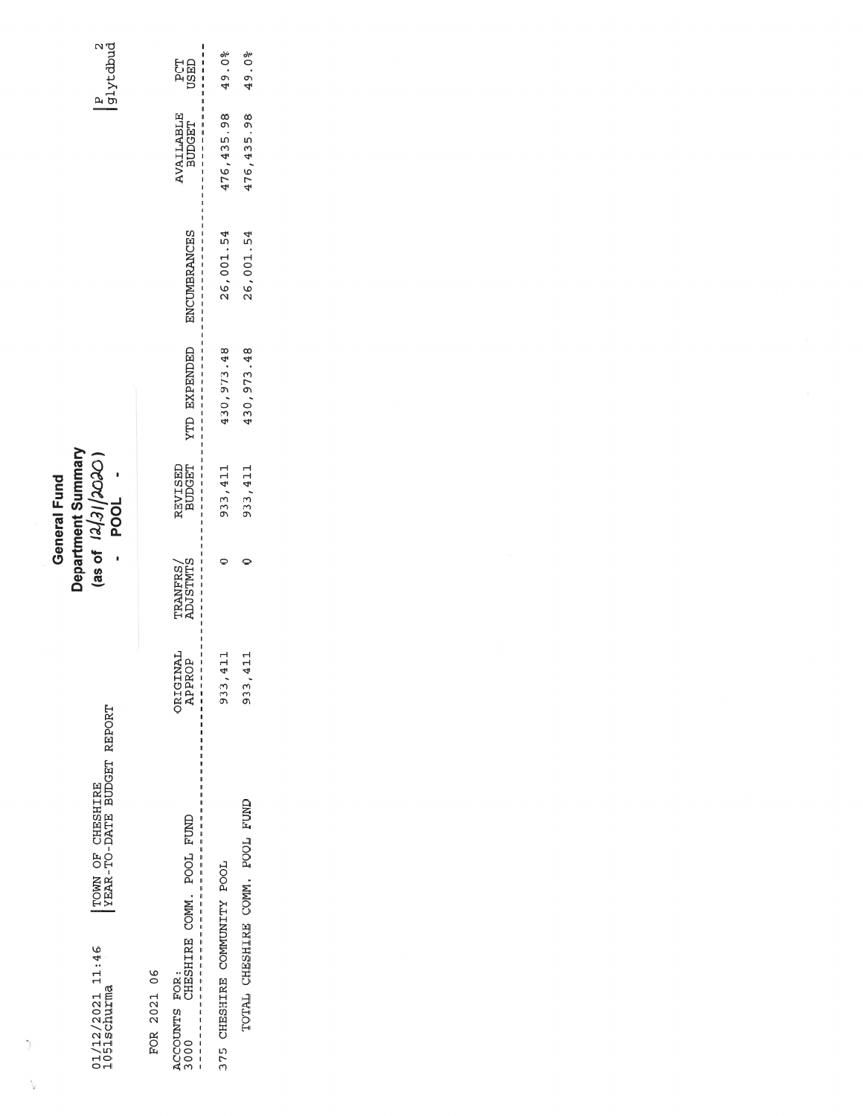TOWN OF CHESHIRE<br>|YEAR-TO-DATE BUDGET REPORT  $01/12/2021$   $11:46$ <br>1051schurma

 $\, \rangle$ 

 $\sum_{\mathbf{k}}$ 

Department Summary<br>(as of  $12/31/2020$ )<br>- POOL

General Fund

 $\begin{array}{c} p \\ g1y t dbud \end{array}$ 

FOR 2021 06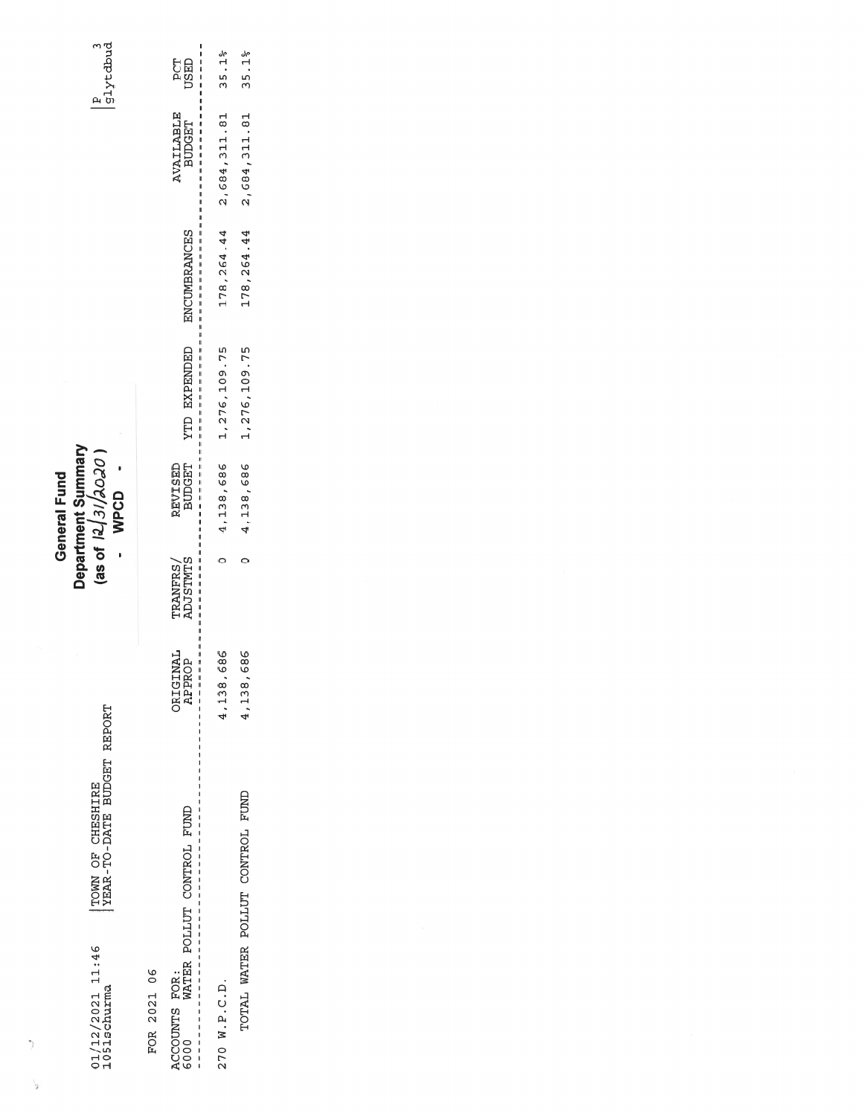TOWN OF CHESHIRE<br>YEAR-TO-DATE BUDGET REPORT  $01/12/2021$  11:46<br>1051schurma

 $\, )$ 

 $\tilde{\mathbf{g}}^{\prime}$ 

General Fund<br>Department Summary<br>(as of  $12/3/2020$ )<br>- WPCD

 $\begin{array}{c} \boxed{\text{p}} \\ \boxed{\text{g1ytdbud}} \end{array}$ 

FOR 2021 06

| l<br>ACCOUNTS FOR:<br>6000 WATER POLLUT CONTROL FUND<br> <br> <br> <br> <br> <br>I | $\begin{array}{c} \begin{array}{c} \text{1} \end{array} & \text{1} \end{array}$<br>ORIGINAL<br>APPROP<br>$\begin{array}{c} 1 \\ 1 \\ 1 \end{array}$ | ı<br>TRANFRS/<br>ADJSTMTS | $-1 - 1 - 1 - 1 - 1 - 1$<br><b>BUDGET</b><br>REVISED<br>$\mathbf{I}$<br>$\mathbf{I}$<br>$\mathbf{I}$ | $\frac{1}{2}$ = $\frac{1}{2}$ = $\frac{1}{2}$ = $\frac{1}{2}$ = $\frac{1}{2}$ = $\frac{1}{2}$ = $\frac{1}{2}$<br>YTD EXPENDED<br>$\mathbf{I}$<br>$\frac{1}{1}$<br>$\mathbf{I}$<br>$\frac{1}{1}$ | ł<br>ENCUMBRANCES<br>ı<br>ı | AVAILABLE<br>BUDGET<br>I<br>$\frac{1}{1}$<br>ı<br>ı<br>ı<br>ı<br>I | l<br>្ត<br>បន្ទា<br>$\mathbf{I}$<br>$\mathbf{I}$<br>I<br>Ï |
|------------------------------------------------------------------------------------|-----------------------------------------------------------------------------------------------------------------------------------------------------|---------------------------|------------------------------------------------------------------------------------------------------|-------------------------------------------------------------------------------------------------------------------------------------------------------------------------------------------------|-----------------------------|--------------------------------------------------------------------|------------------------------------------------------------|
| 270 W.P.C.D.                                                                       | 686<br>4,138,                                                                                                                                       |                           |                                                                                                      | $0$ 4, 138, 686 1, 276, 109. 75                                                                                                                                                                 |                             | 178, 264.44 2, 684, 311.81 35.1%                                   |                                                            |
| TOTAL WATER POLLUT CONTROL FUND                                                    | 686<br>4,138,                                                                                                                                       |                           | $0 \t 4, 138, 686$                                                                                   | 1, 276, 109. 75                                                                                                                                                                                 |                             | 178, 264.44 2, 684, 311.81                                         | 35.1%                                                      |
|                                                                                    |                                                                                                                                                     |                           |                                                                                                      |                                                                                                                                                                                                 |                             |                                                                    |                                                            |